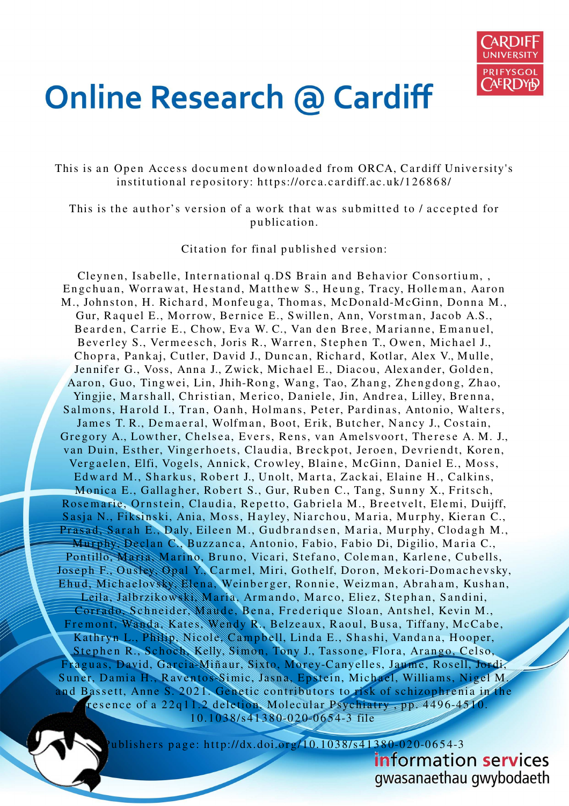

# **Online Research @ Cardiff**

This is an Open Access document downloaded from ORCA, Cardiff University's institutional repository: https://orca.cardiff.ac.uk/126868/

This is the author's version of a work that was submitted to / accepted for p u blication.

Citation for final published version:

Cleynen, Isabelle, International q.DS Brain and Behavior Consortium, Engchuan, Worrawat, Hestand, Matthew S., Heung, Tracy, Holleman, Aaron M., Johnston, H. Richard, Monfeuga, Thomas, McDonald-McGinn, Donna M., Gur, Raquel E., Morrow, Bernice E., Swillen, Ann, Vorstman, Jacob A.S., Bearden, Carrie E., Chow, Eva W. C., Van den Bree, Marianne, Emanuel, Beverley S., Vermeesch, Joris R., Warren, Stephen T., Owen, Michael J., Chopra, Pankaj, Cutler, David J., Duncan, Richard, Kotlar, Alex V., Mulle, Jennifer G., Voss, Anna J., Zwick, Michael E., Diacou, Alexander, Golden, Aaron, Guo, Tingwei, Lin, Jhih-Rong, Wang, Tao, Zhang, Zhengdong, Zhao, Yingjie, Marshall, Christian, Merico, Daniele, Jin, Andrea, Lilley, Brenna, Salmons, Harold I., Tran, Oanh, Holmans, Peter, Pardinas, Antonio, Walters, James T. R., Demaeral, Wolfman, Boot, Erik, Butcher, Nancy J., Costain, Gregory A., Lowther, Chelsea, Evers, Rens, van Amelsvoort, Therese A. M. J., van Duin, Esther, Vingerhoets, Claudia, Breckpot, Jeroen, Devriendt, Koren, Vergaelen, Elfi, Vogels, Annick, Crowley, Blaine, McGinn, Daniel E., Moss, Edward M., Sharkus, Robert J., Unolt, Marta, Zackai, Elaine H., Calkins, Monica E., Gallagher, Robert S., Gur, Ruben C., Tang, Sunny X., Fritsch, Rosemarie, Ornstein, Claudia, Repetto, Gabriela M., Breetvelt, Elemi, Duijff, Sasja N., Fiksinski, Ania, Moss, Hayley, Niarchou, Maria, Murphy, Kieran C., Prasad, Sarah E., Daly, Eileen M., Gudbrandsen, Maria, Murphy, Clodagh M., Murphy, Declan C., Buzzanca, Antonio, Fabio, Fabio Di, Digilio, Maria C., Pontillo, Maria, Marino, Bruno, Vicari, Stefano, Coleman, Karlene, Cubells, Joseph F., Ousley, Opal Y., Carmel, Miri, Gothelf, Doron, Mekori-Domachevsky, Ehud, Michaelovsky, Elena, Weinberger, Ronnie, Weizman, Abraham, Kushan, Leila, Jalbrzikowski, Maria, Armando, Marco, Eliez, Stephan, Sandini, Corrado, Schneider, Maude, Bena, Frederique Sloan, Antshel, Kevin M., Fremont, Wanda, Kates, Wendy R., Belzeaux, Raoul, Busa, Tiffany, McCabe, Kathryn L., Philip, Nicole, Campbell, Linda E., Shashi, Vandana, Hooper, Stephen R., Schoch, Kelly, Simon, Tony J., Tassone, Flora, Arango, Celso, Fraguas, David, Garcia-Miñaur, Sixto, Morey-Canyelles, Jaume, Rosell, Jordi, Suner, Damia H., Raventos-Simic, Jasna, Epstein, Michael, Williams, Nigel M. and Bassett, Anne S. 2021. Genetic contributors to risk of schizophrenia in the resence of a 22q11.2 deletion. Molecular Psychiatry, pp. 4496-4510. 1 0.10 3 8/s 41 3 8 0-0 2 0-0 6 5 4-3 file



ublishers page: http://dx.doi.org/10.1038/s41380-020-0654-3

gwasanaethau gwybodaeth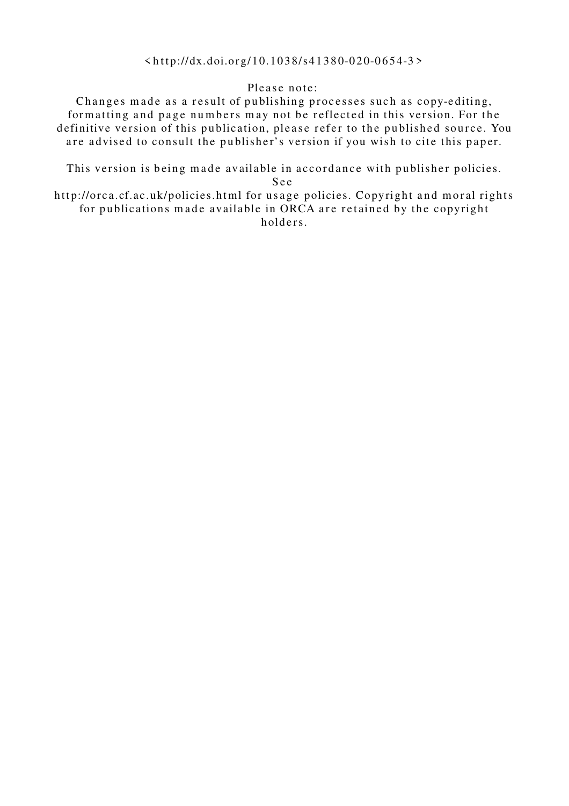#### $\langle \text{http://dx.doi.org/10.1038/s41380-020-0654-3>}$

#### Please note:

Changes made as a result of publishing processes such as copy-editing, formatting and page numbers may not be reflected in this version. For the definitive version of this publication, please refer to the published source. You are advised to consult the publisher's version if you wish to cite this paper.

This version is being made available in accordance with publisher policies.

S e e

http://orca.cf.ac.uk/policies.html for usage policies. Copyright and moral rights for publications made available in ORCA are retained by the copyright holders.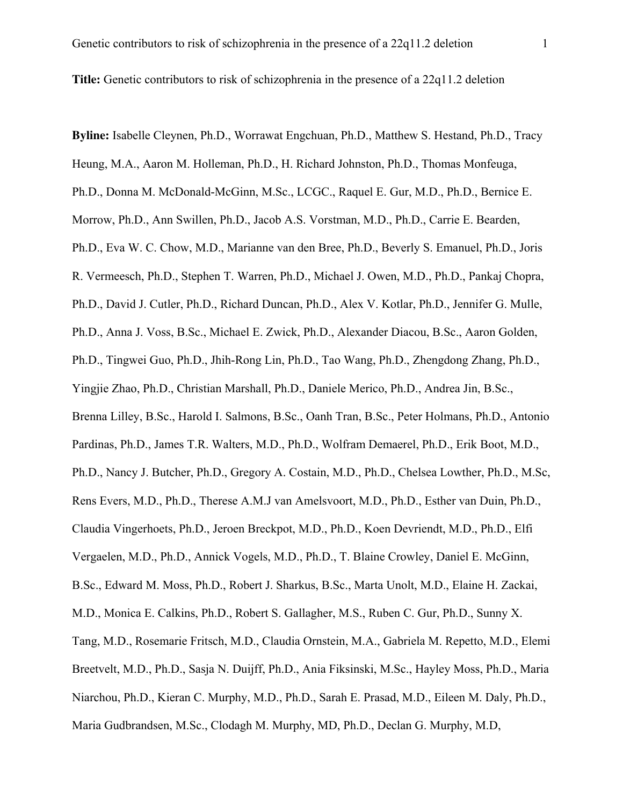**Title:** Genetic contributors to risk of schizophrenia in the presence of a 22q11.2 deletion

**Byline:** Isabelle Cleynen, Ph.D., Worrawat Engchuan, Ph.D., Matthew S. Hestand, Ph.D., Tracy

Heung, M.A., Aaron M. Holleman, Ph.D., H. Richard Johnston, Ph.D., Thomas Monfeuga, Ph.D., Donna M. McDonald-McGinn, M.Sc., LCGC., Raquel E. Gur, M.D., Ph.D., Bernice E. Morrow, Ph.D., Ann Swillen, Ph.D., Jacob A.S. Vorstman, M.D., Ph.D., Carrie E. Bearden, Ph.D., Eva W. C. Chow, M.D., Marianne van den Bree, Ph.D., Beverly S. Emanuel, Ph.D., Joris R. Vermeesch, Ph.D., Stephen T. Warren, Ph.D., Michael J. Owen, M.D., Ph.D., Pankaj Chopra, Ph.D., David J. Cutler, Ph.D., Richard Duncan, Ph.D., Alex V. Kotlar, Ph.D., Jennifer G. Mulle, Ph.D., Anna J. Voss, B.Sc., Michael E. Zwick, Ph.D., Alexander Diacou, B.Sc., Aaron Golden, Ph.D., Tingwei Guo, Ph.D., Jhih-Rong Lin, Ph.D., Tao Wang, Ph.D., Zhengdong Zhang, Ph.D., Yingjie Zhao, Ph.D., Christian Marshall, Ph.D., Daniele Merico, Ph.D., Andrea Jin, B.Sc., Brenna Lilley, B.Sc., Harold I. Salmons, B.Sc., Oanh Tran, B.Sc., Peter Holmans, Ph.D., Antonio Pardinas, Ph.D., James T.R. Walters, M.D., Ph.D., Wolfram Demaerel, Ph.D., Erik Boot, M.D., Ph.D., Nancy J. Butcher, Ph.D., Gregory A. Costain, M.D., Ph.D., Chelsea Lowther, Ph.D., M.Sc, Rens Evers, M.D., Ph.D., Therese A.M.J van Amelsvoort, M.D., Ph.D., Esther van Duin, Ph.D., Claudia Vingerhoets, Ph.D., Jeroen Breckpot, M.D., Ph.D., Koen Devriendt, M.D., Ph.D., Elfi Vergaelen, M.D., Ph.D., Annick Vogels, M.D., Ph.D., T. Blaine Crowley, Daniel E. McGinn, B.Sc., Edward M. Moss, Ph.D., Robert J. Sharkus, B.Sc., Marta Unolt, M.D., Elaine H. Zackai, M.D., Monica E. Calkins, Ph.D., Robert S. Gallagher, M.S., Ruben C. Gur, Ph.D., Sunny X. Tang, M.D., Rosemarie Fritsch, M.D., Claudia Ornstein, M.A., Gabriela M. Repetto, M.D., Elemi Breetvelt, M.D., Ph.D., Sasja N. Duijff, Ph.D., Ania Fiksinski, M.Sc., Hayley Moss, Ph.D., Maria Niarchou, Ph.D., Kieran C. Murphy, M.D., Ph.D., Sarah E. Prasad, M.D., Eileen M. Daly, Ph.D., Maria Gudbrandsen, M.Sc., Clodagh M. Murphy, MD, Ph.D., Declan G. Murphy, M.D,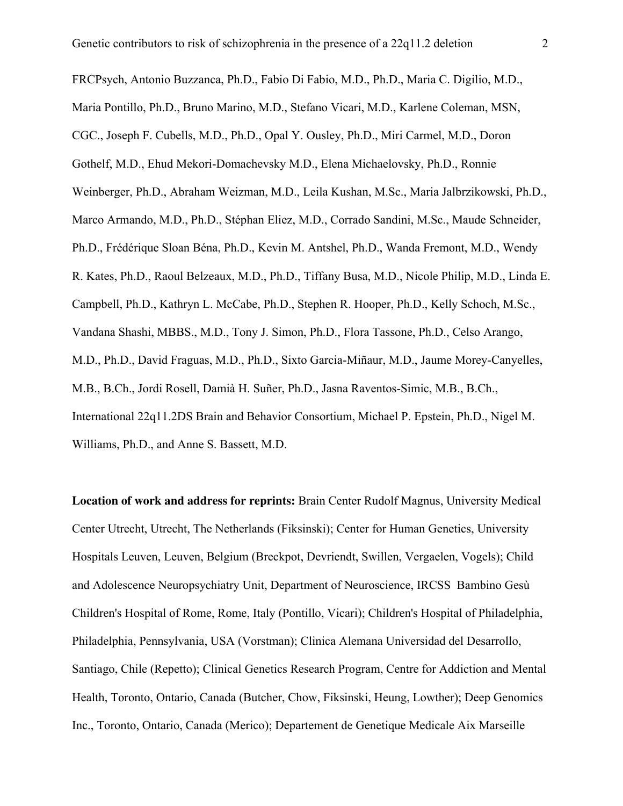FRCPsych, Antonio Buzzanca, Ph.D., Fabio Di Fabio, M.D., Ph.D., Maria C. Digilio, M.D., Maria Pontillo, Ph.D., Bruno Marino, M.D., Stefano Vicari, M.D., Karlene Coleman, MSN, CGC., Joseph F. Cubells, M.D., Ph.D., Opal Y. Ousley, Ph.D., Miri Carmel, M.D., Doron Gothelf, M.D., Ehud Mekori-Domachevsky M.D., Elena Michaelovsky, Ph.D., Ronnie Weinberger, Ph.D., Abraham Weizman, M.D., Leila Kushan, M.Sc., Maria Jalbrzikowski, Ph.D., Marco Armando, M.D., Ph.D., Stéphan Eliez, M.D., Corrado Sandini, M.Sc., Maude Schneider, Ph.D., Frédérique Sloan Béna, Ph.D., Kevin M. Antshel, Ph.D., Wanda Fremont, M.D., Wendy R. Kates, Ph.D., Raoul Belzeaux, M.D., Ph.D., Tiffany Busa, M.D., Nicole Philip, M.D., Linda E. Campbell, Ph.D., Kathryn L. McCabe, Ph.D., Stephen R. Hooper, Ph.D., Kelly Schoch, M.Sc., Vandana Shashi, MBBS., M.D., Tony J. Simon, Ph.D., Flora Tassone, Ph.D., Celso Arango, M.D., Ph.D., David Fraguas, M.D., Ph.D., Sixto Garcia-Miñaur, M.D., Jaume Morey-Canyelles, M.B., B.Ch., Jordi Rosell, Damià H. Suñer, Ph.D., Jasna Raventos-Simic, M.B., B.Ch., International 22q11.2DS Brain and Behavior Consortium, Michael P. Epstein, Ph.D., Nigel M. Williams, Ph.D., and Anne S. Bassett, M.D.

**Location of work and address for reprints:** Brain Center Rudolf Magnus, University Medical Center Utrecht, Utrecht, The Netherlands (Fiksinski); Center for Human Genetics, University Hospitals Leuven, Leuven, Belgium (Breckpot, Devriendt, Swillen, Vergaelen, Vogels); Child and Adolescence Neuropsychiatry Unit, Department of Neuroscience, IRCSS Bambino Gesù Children's Hospital of Rome, Rome, Italy (Pontillo, Vicari); Children's Hospital of Philadelphia, Philadelphia, Pennsylvania, USA (Vorstman); Clinica Alemana Universidad del Desarrollo, Santiago, Chile (Repetto); Clinical Genetics Research Program, Centre for Addiction and Mental Health, Toronto, Ontario, Canada (Butcher, Chow, Fiksinski, Heung, Lowther); Deep Genomics Inc., Toronto, Ontario, Canada (Merico); Departement de Genetique Medicale Aix Marseille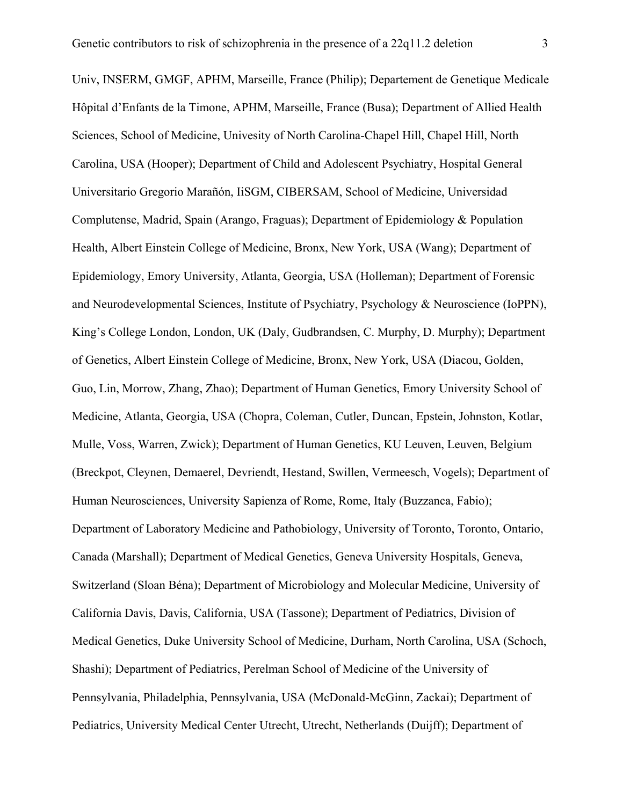Univ, INSERM, GMGF, APHM, Marseille, France (Philip); Departement de Genetique Medicale Hôpital d'Enfants de la Timone, APHM, Marseille, France (Busa); Department of Allied Health Sciences, School of Medicine, Univesity of North Carolina-Chapel Hill, Chapel Hill, North Carolina, USA (Hooper); Department of Child and Adolescent Psychiatry, Hospital General Universitario Gregorio Marañón, IiSGM, CIBERSAM, School of Medicine, Universidad Complutense, Madrid, Spain (Arango, Fraguas); Department of Epidemiology & Population Health, Albert Einstein College of Medicine, Bronx, New York, USA (Wang); Department of Epidemiology, Emory University, Atlanta, Georgia, USA (Holleman); Department of Forensic and Neurodevelopmental Sciences, Institute of Psychiatry, Psychology & Neuroscience (IoPPN), King's College London, London, UK (Daly, Gudbrandsen, C. Murphy, D. Murphy); Department of Genetics, Albert Einstein College of Medicine, Bronx, New York, USA (Diacou, Golden, Guo, Lin, Morrow, Zhang, Zhao); Department of Human Genetics, Emory University School of Medicine, Atlanta, Georgia, USA (Chopra, Coleman, Cutler, Duncan, Epstein, Johnston, Kotlar, Mulle, Voss, Warren, Zwick); Department of Human Genetics, KU Leuven, Leuven, Belgium (Breckpot, Cleynen, Demaerel, Devriendt, Hestand, Swillen, Vermeesch, Vogels); Department of Human Neurosciences, University Sapienza of Rome, Rome, Italy (Buzzanca, Fabio); Department of Laboratory Medicine and Pathobiology, University of Toronto, Toronto, Ontario, Canada (Marshall); Department of Medical Genetics, Geneva University Hospitals, Geneva, Switzerland (Sloan Béna); Department of Microbiology and Molecular Medicine, University of California Davis, Davis, California, USA (Tassone); Department of Pediatrics, Division of Medical Genetics, Duke University School of Medicine, Durham, North Carolina, USA (Schoch, Shashi); Department of Pediatrics, Perelman School of Medicine of the University of Pennsylvania, Philadelphia, Pennsylvania, USA (McDonald-McGinn, Zackai); Department of Pediatrics, University Medical Center Utrecht, Utrecht, Netherlands (Duijff); Department of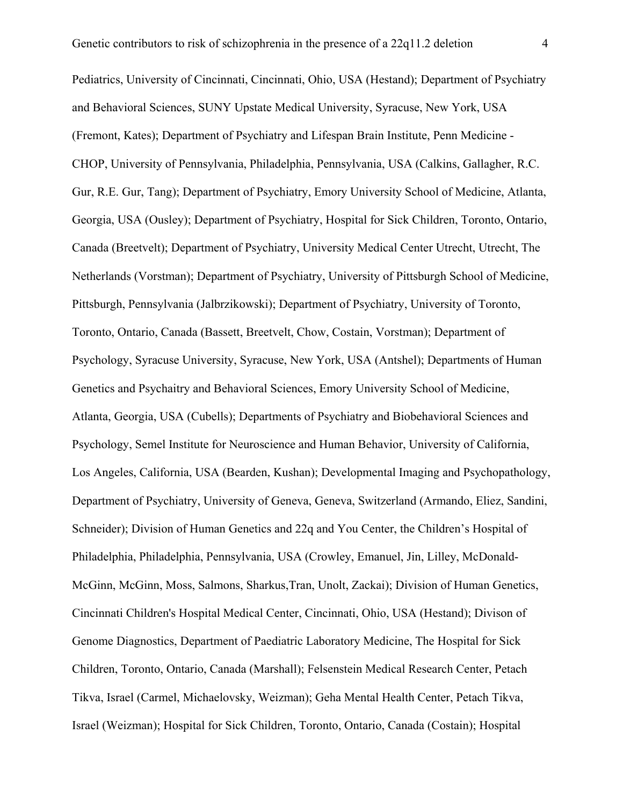Pediatrics, University of Cincinnati, Cincinnati, Ohio, USA (Hestand); Department of Psychiatry and Behavioral Sciences, SUNY Upstate Medical University, Syracuse, New York, USA (Fremont, Kates); Department of Psychiatry and Lifespan Brain Institute, Penn Medicine - CHOP, University of Pennsylvania, Philadelphia, Pennsylvania, USA (Calkins, Gallagher, R.C. Gur, R.E. Gur, Tang); Department of Psychiatry, Emory University School of Medicine, Atlanta, Georgia, USA (Ousley); Department of Psychiatry, Hospital for Sick Children, Toronto, Ontario, Canada (Breetvelt); Department of Psychiatry, University Medical Center Utrecht, Utrecht, The Netherlands (Vorstman); Department of Psychiatry, University of Pittsburgh School of Medicine, Pittsburgh, Pennsylvania (Jalbrzikowski); Department of Psychiatry, University of Toronto, Toronto, Ontario, Canada (Bassett, Breetvelt, Chow, Costain, Vorstman); Department of Psychology, Syracuse University, Syracuse, New York, USA (Antshel); Departments of Human Genetics and Psychaitry and Behavioral Sciences, Emory University School of Medicine, Atlanta, Georgia, USA (Cubells); Departments of Psychiatry and Biobehavioral Sciences and Psychology, Semel Institute for Neuroscience and Human Behavior, University of California, Los Angeles, California, USA (Bearden, Kushan); Developmental Imaging and Psychopathology, Department of Psychiatry, University of Geneva, Geneva, Switzerland (Armando, Eliez, Sandini, Schneider); Division of Human Genetics and 22q and You Center, the Children's Hospital of Philadelphia, Philadelphia, Pennsylvania, USA (Crowley, Emanuel, Jin, Lilley, McDonald-McGinn, McGinn, Moss, Salmons, Sharkus,Tran, Unolt, Zackai); Division of Human Genetics, Cincinnati Children's Hospital Medical Center, Cincinnati, Ohio, USA (Hestand); Divison of Genome Diagnostics, Department of Paediatric Laboratory Medicine, The Hospital for Sick Children, Toronto, Ontario, Canada (Marshall); Felsenstein Medical Research Center, Petach Tikva, Israel (Carmel, Michaelovsky, Weizman); Geha Mental Health Center, Petach Tikva, Israel (Weizman); Hospital for Sick Children, Toronto, Ontario, Canada (Costain); Hospital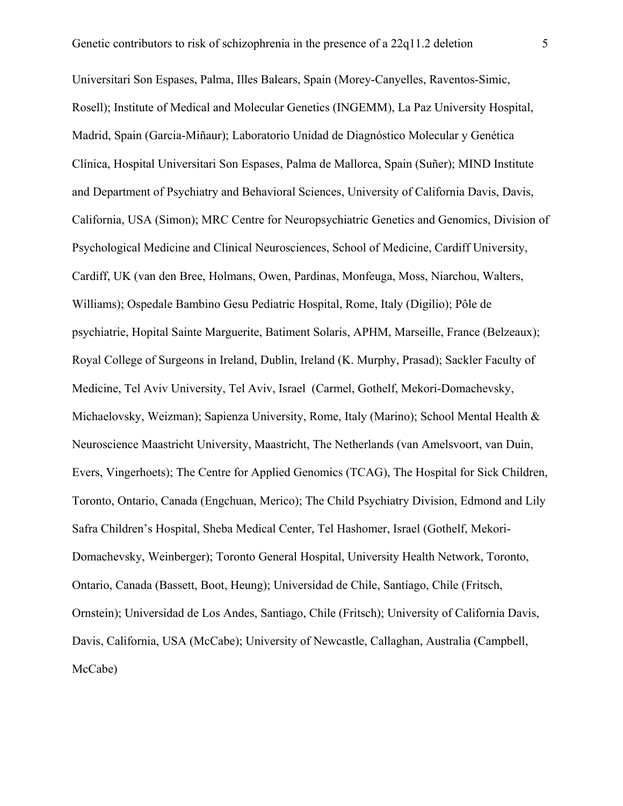Universitari Son Espases, Palma, Illes Balears, Spain (Morey-Canyelles, Raventos-Simic, Rosell); Institute of Medical and Molecular Genetics (INGEMM), La Paz University Hospital, Madrid, Spain (Garcia-Miñaur); Laboratorio Unidad de Diagnóstico Molecular y Genética Clínica, Hospital Universitari Son Espases, Palma de Mallorca, Spain (Suñer); MIND Institute and Department of Psychiatry and Behavioral Sciences, University of California Davis, Davis, California, USA (Simon); MRC Centre for Neuropsychiatric Genetics and Genomics, Division of Psychological Medicine and Clinical Neurosciences, School of Medicine, Cardiff University, Cardiff, UK (van den Bree, Holmans, Owen, Pardinas, Monfeuga, Moss, Niarchou, Walters, Williams); Ospedale Bambino Gesu Pediatric Hospital, Rome, Italy (Digilio); Pôle de psychiatrie, Hopital Sainte Marguerite, Batiment Solaris, APHM, Marseille, France (Belzeaux); Royal College of Surgeons in Ireland, Dublin, Ireland (K. Murphy, Prasad); Sackler Faculty of Medicine, Tel Aviv University, Tel Aviv, Israel (Carmel, Gothelf, Mekori-Domachevsky, Michaelovsky, Weizman); Sapienza University, Rome, Italy (Marino); School Mental Health & Neuroscience Maastricht University, Maastricht, The Netherlands (van Amelsvoort, van Duin, Evers, Vingerhoets); The Centre for Applied Genomics (TCAG), The Hospital for Sick Children, Toronto, Ontario, Canada (Engchuan, Merico); The Child Psychiatry Division, Edmond and Lily Safra Children's Hospital, Sheba Medical Center, Tel Hashomer, Israel (Gothelf, Mekori-Domachevsky, Weinberger); Toronto General Hospital, University Health Network, Toronto, Ontario, Canada (Bassett, Boot, Heung); Universidad de Chile, Santiago, Chile (Fritsch, Ornstein); Universidad de Los Andes, Santiago, Chile (Fritsch); University of California Davis, Davis, California, USA (McCabe); University of Newcastle, Callaghan, Australia (Campbell, McCabe)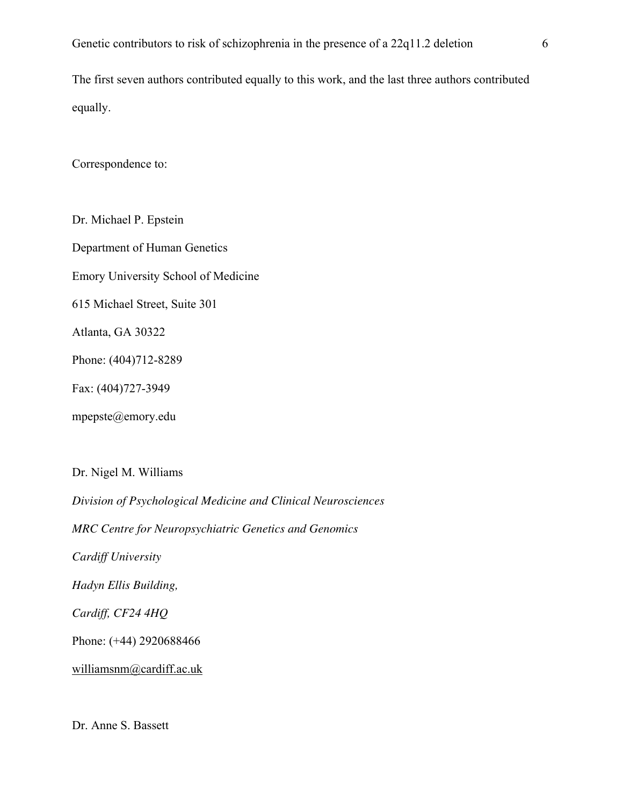The first seven authors contributed equally to this work, and the last three authors contributed equally.

Correspondence to:

Dr. Michael P. Epstein Department of Human Genetics Emory University School of Medicine 615 Michael Street, Suite 301 Atlanta, GA 30322 Phone: (404)712-8289 Fax: (404)727-3949 mpepste@emory.edu

Dr. Nigel M. Williams

*Division of Psychological Medicine and Clinical Neurosciences MRC Centre for Neuropsychiatric Genetics and Genomics Cardiff University Hadyn Ellis Building, Cardiff, CF24 4HQ* Phone: (+44) 2920688466 williamsnm@cardiff.ac.uk

Dr. Anne S. Bassett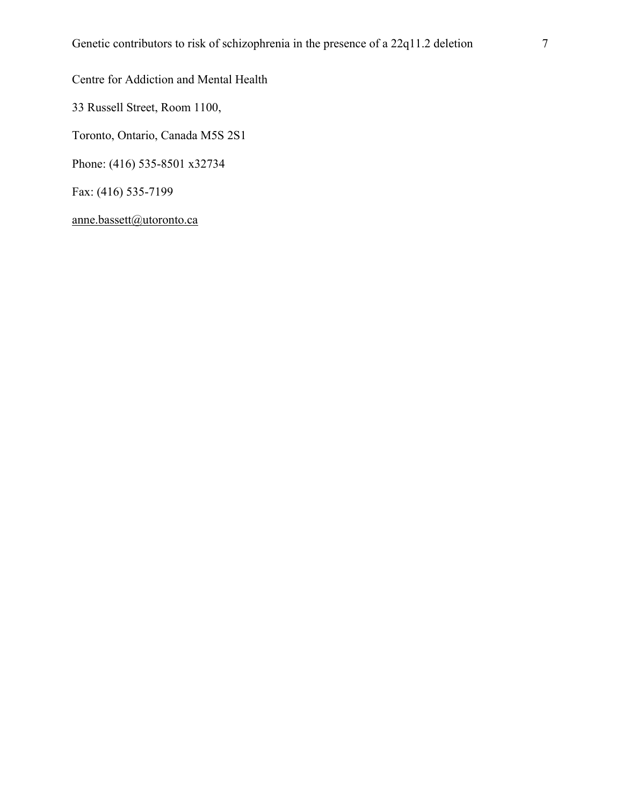Centre for Addiction and Mental Health

33 Russell Street, Room 1100,

Toronto, Ontario, Canada M5S 2S1

Phone: (416) 535-8501 x32734

Fax: (416) 535-7199

anne.bassett@utoronto.ca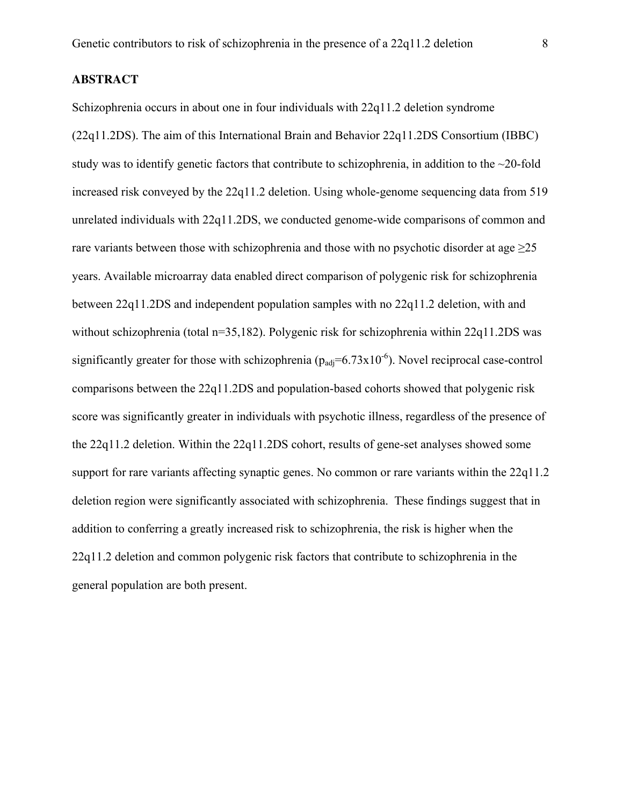#### **ABSTRACT**

Schizophrenia occurs in about one in four individuals with 22q11.2 deletion syndrome (22q11.2DS). The aim of this International Brain and Behavior 22q11.2DS Consortium (IBBC) study was to identify genetic factors that contribute to schizophrenia, in addition to the  $\sim$ 20-fold increased risk conveyed by the 22q11.2 deletion. Using whole-genome sequencing data from 519 unrelated individuals with 22q11.2DS, we conducted genome-wide comparisons of common and rare variants between those with schizophrenia and those with no psychotic disorder at age  $\geq$ 25 years. Available microarray data enabled direct comparison of polygenic risk for schizophrenia between 22q11.2DS and independent population samples with no 22q11.2 deletion, with and without schizophrenia (total n=35,182). Polygenic risk for schizophrenia within 22q11.2DS was significantly greater for those with schizophrenia ( $p_{\text{adi}}=6.73 \times 10^{-6}$ ). Novel reciprocal case-control comparisons between the 22q11.2DS and population-based cohorts showed that polygenic risk score was significantly greater in individuals with psychotic illness, regardless of the presence of the 22q11.2 deletion. Within the 22q11.2DS cohort, results of gene-set analyses showed some support for rare variants affecting synaptic genes. No common or rare variants within the 22q11.2 deletion region were significantly associated with schizophrenia. These findings suggest that in addition to conferring a greatly increased risk to schizophrenia, the risk is higher when the 22q11.2 deletion and common polygenic risk factors that contribute to schizophrenia in the general population are both present.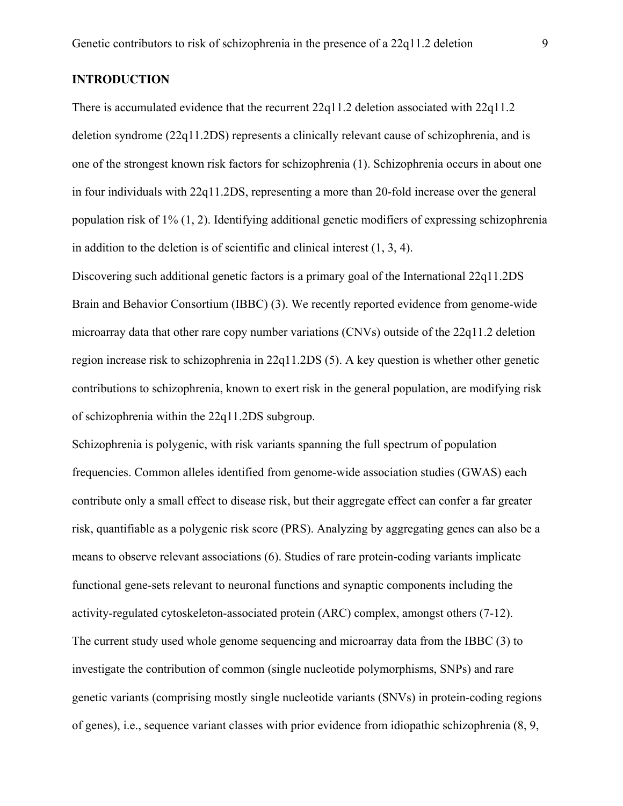#### **INTRODUCTION**

There is accumulated evidence that the recurrent 22q11.2 deletion associated with 22q11.2 deletion syndrome (22q11.2DS) represents a clinically relevant cause of schizophrenia, and is one of the strongest known risk factors for schizophrenia (1). Schizophrenia occurs in about one in four individuals with 22q11.2DS, representing a more than 20-fold increase over the general population risk of 1% (1, 2). Identifying additional genetic modifiers of expressing schizophrenia in addition to the deletion is of scientific and clinical interest (1, 3, 4).

Discovering such additional genetic factors is a primary goal of the International 22q11.2DS Brain and Behavior Consortium (IBBC) (3). We recently reported evidence from genome-wide microarray data that other rare copy number variations (CNVs) outside of the 22q11.2 deletion region increase risk to schizophrenia in 22q11.2DS (5). A key question is whether other genetic contributions to schizophrenia, known to exert risk in the general population, are modifying risk of schizophrenia within the 22q11.2DS subgroup.

Schizophrenia is polygenic, with risk variants spanning the full spectrum of population frequencies. Common alleles identified from genome-wide association studies (GWAS) each contribute only a small effect to disease risk, but their aggregate effect can confer a far greater risk, quantifiable as a polygenic risk score (PRS). Analyzing by aggregating genes can also be a means to observe relevant associations (6). Studies of rare protein-coding variants implicate functional gene-sets relevant to neuronal functions and synaptic components including the activity-regulated cytoskeleton-associated protein (ARC) complex, amongst others (7-12). The current study used whole genome sequencing and microarray data from the IBBC (3) to investigate the contribution of common (single nucleotide polymorphisms, SNPs) and rare genetic variants (comprising mostly single nucleotide variants (SNVs) in protein-coding regions of genes), i.e., sequence variant classes with prior evidence from idiopathic schizophrenia (8, 9,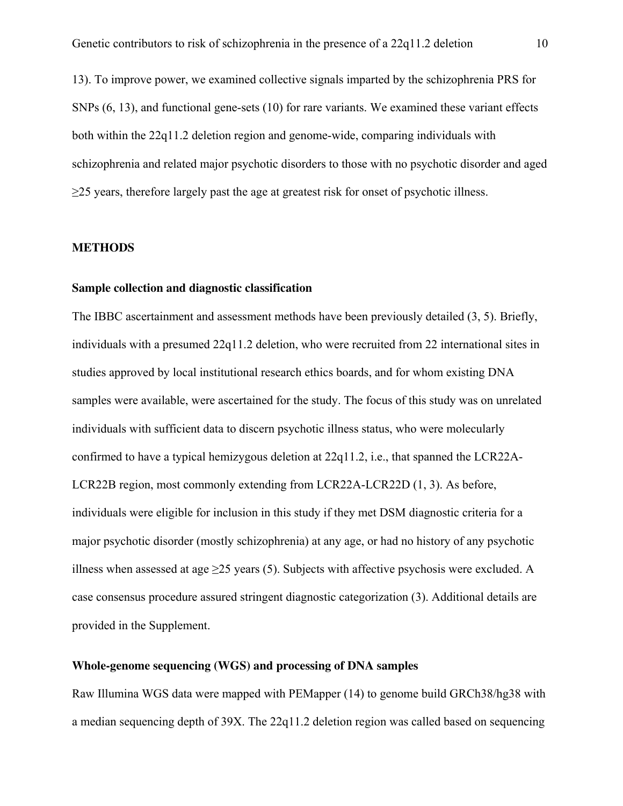13). To improve power, we examined collective signals imparted by the schizophrenia PRS for SNPs (6, 13), and functional gene-sets (10) for rare variants. We examined these variant effects both within the 22q11.2 deletion region and genome-wide, comparing individuals with schizophrenia and related major psychotic disorders to those with no psychotic disorder and aged ≥25 years, therefore largely past the age at greatest risk for onset of psychotic illness.

#### **METHODS**

#### **Sample collection and diagnostic classification**

The IBBC ascertainment and assessment methods have been previously detailed (3, 5). Briefly, individuals with a presumed 22q11.2 deletion, who were recruited from 22 international sites in studies approved by local institutional research ethics boards, and for whom existing DNA samples were available, were ascertained for the study. The focus of this study was on unrelated individuals with sufficient data to discern psychotic illness status, who were molecularly confirmed to have a typical hemizygous deletion at 22q11.2, i.e., that spanned the LCR22A-LCR22B region, most commonly extending from LCR22A-LCR22D (1, 3). As before, individuals were eligible for inclusion in this study if they met DSM diagnostic criteria for a major psychotic disorder (mostly schizophrenia) at any age, or had no history of any psychotic illness when assessed at age  $\geq$ 25 years (5). Subjects with affective psychosis were excluded. A case consensus procedure assured stringent diagnostic categorization (3). Additional details are provided in the Supplement.

#### **Whole-genome sequencing (WGS) and processing of DNA samples**

Raw Illumina WGS data were mapped with PEMapper (14) to genome build GRCh38/hg38 with a median sequencing depth of 39X. The 22q11.2 deletion region was called based on sequencing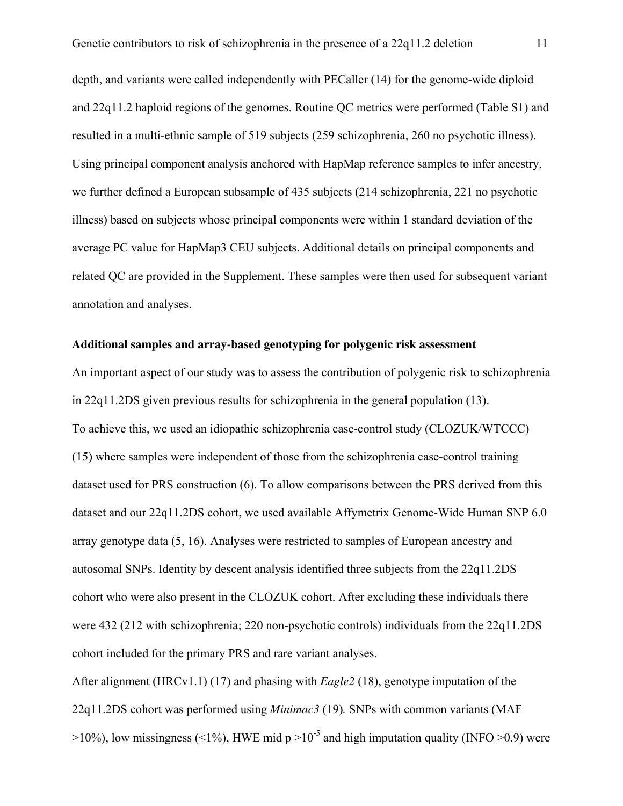depth, and variants were called independently with PECaller (14) for the genome-wide diploid and 22q11.2 haploid regions of the genomes. Routine QC metrics were performed (Table S1) and resulted in a multi-ethnic sample of 519 subjects (259 schizophrenia, 260 no psychotic illness). Using principal component analysis anchored with HapMap reference samples to infer ancestry, we further defined a European subsample of 435 subjects (214 schizophrenia, 221 no psychotic illness) based on subjects whose principal components were within 1 standard deviation of the average PC value for HapMap3 CEU subjects. Additional details on principal components and related QC are provided in the Supplement. These samples were then used for subsequent variant annotation and analyses.

#### **Additional samples and array-based genotyping for polygenic risk assessment**

An important aspect of our study was to assess the contribution of polygenic risk to schizophrenia in 22q11.2DS given previous results for schizophrenia in the general population (13). To achieve this, we used an idiopathic schizophrenia case-control study (CLOZUK/WTCCC) (15) where samples were independent of those from the schizophrenia case-control training dataset used for PRS construction (6). To allow comparisons between the PRS derived from this dataset and our 22q11.2DS cohort, we used available Affymetrix Genome-Wide Human SNP 6.0 array genotype data (5, 16). Analyses were restricted to samples of European ancestry and autosomal SNPs. Identity by descent analysis identified three subjects from the 22q11.2DS cohort who were also present in the CLOZUK cohort. After excluding these individuals there were 432 (212 with schizophrenia; 220 non-psychotic controls) individuals from the 22q11.2DS cohort included for the primary PRS and rare variant analyses.

After alignment (HRCv1.1) (17) and phasing with *Eagle2* (18), genotype imputation of the 22q11.2DS cohort was performed using *Minimac3* (19)*.* SNPs with common variants (MAF  $>10\%$ ), low missingness (<1%), HWE mid p  $>10^{-5}$  and high imputation quality (INFO  $>0.9$ ) were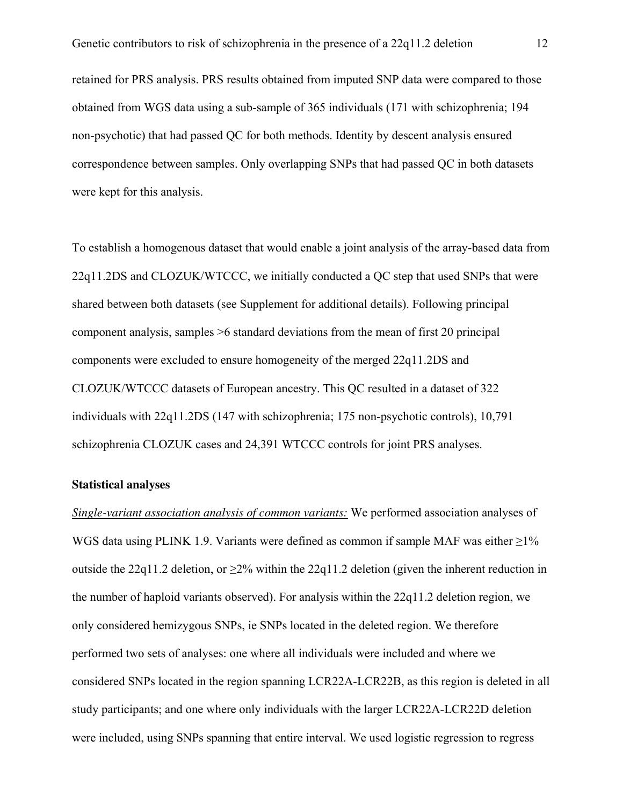retained for PRS analysis. PRS results obtained from imputed SNP data were compared to those obtained from WGS data using a sub-sample of 365 individuals (171 with schizophrenia; 194 non-psychotic) that had passed QC for both methods. Identity by descent analysis ensured correspondence between samples. Only overlapping SNPs that had passed QC in both datasets were kept for this analysis.

To establish a homogenous dataset that would enable a joint analysis of the array-based data from 22q11.2DS and CLOZUK/WTCCC, we initially conducted a QC step that used SNPs that were shared between both datasets (see Supplement for additional details). Following principal component analysis, samples >6 standard deviations from the mean of first 20 principal components were excluded to ensure homogeneity of the merged 22q11.2DS and CLOZUK/WTCCC datasets of European ancestry. This QC resulted in a dataset of 322 individuals with 22q11.2DS (147 with schizophrenia; 175 non-psychotic controls), 10,791 schizophrenia CLOZUK cases and 24,391 WTCCC controls for joint PRS analyses.

#### **Statistical analyses**

*Single-variant association analysis of common variants:* We performed association analyses of WGS data using PLINK 1.9. Variants were defined as common if sample MAF was either  $\geq$ 1% outside the 22q11.2 deletion, or  $\geq 2\%$  within the 22q11.2 deletion (given the inherent reduction in the number of haploid variants observed). For analysis within the 22q11.2 deletion region, we only considered hemizygous SNPs, ie SNPs located in the deleted region. We therefore performed two sets of analyses: one where all individuals were included and where we considered SNPs located in the region spanning LCR22A-LCR22B, as this region is deleted in all study participants; and one where only individuals with the larger LCR22A-LCR22D deletion were included, using SNPs spanning that entire interval. We used logistic regression to regress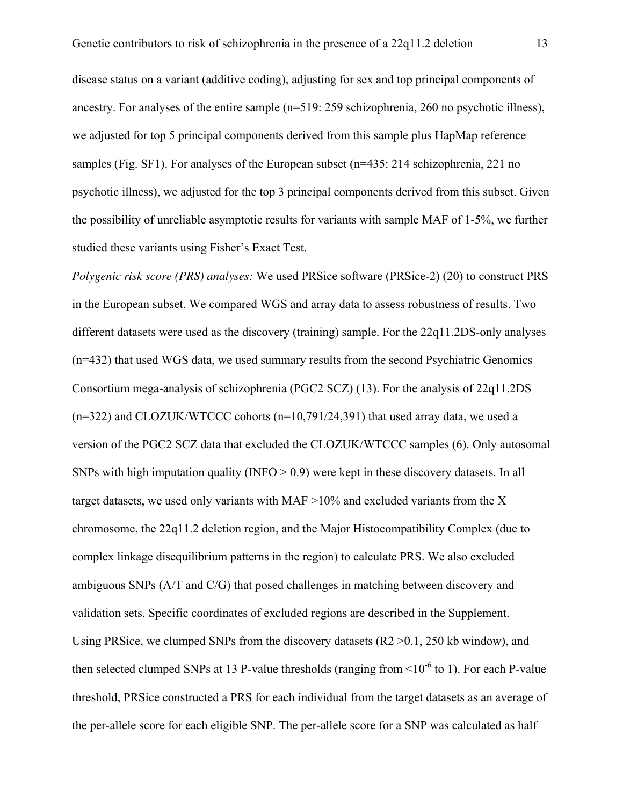disease status on a variant (additive coding), adjusting for sex and top principal components of ancestry. For analyses of the entire sample (n=519: 259 schizophrenia, 260 no psychotic illness), we adjusted for top 5 principal components derived from this sample plus HapMap reference samples (Fig. SF1). For analyses of the European subset (n=435: 214 schizophrenia, 221 no psychotic illness), we adjusted for the top 3 principal components derived from this subset. Given the possibility of unreliable asymptotic results for variants with sample MAF of 1-5%, we further studied these variants using Fisher's Exact Test.

*Polygenic risk score (PRS) analyses:* We used PRSice software (PRSice-2) (20) to construct PRS in the European subset. We compared WGS and array data to assess robustness of results. Two different datasets were used as the discovery (training) sample. For the 22q11.2DS-only analyses (n=432) that used WGS data, we used summary results from the second Psychiatric Genomics Consortium mega-analysis of schizophrenia (PGC2 SCZ) (13). For the analysis of 22q11.2DS  $(n=322)$  and CLOZUK/WTCCC cohorts  $(n=10.791/24.391)$  that used array data, we used a version of the PGC2 SCZ data that excluded the CLOZUK/WTCCC samples (6). Only autosomal SNPs with high imputation quality (INFO  $> 0.9$ ) were kept in these discovery datasets. In all target datasets, we used only variants with MAF  $>10\%$  and excluded variants from the X chromosome, the 22q11.2 deletion region, and the Major Histocompatibility Complex (due to complex linkage disequilibrium patterns in the region) to calculate PRS. We also excluded ambiguous SNPs (A/T and C/G) that posed challenges in matching between discovery and validation sets. Specific coordinates of excluded regions are described in the Supplement. Using PRSice, we clumped SNPs from the discovery datasets (R2 >0.1, 250 kb window), and then selected clumped SNPs at 13 P-value thresholds (ranging from  $\leq 10^{-6}$  to 1). For each P-value threshold, PRSice constructed a PRS for each individual from the target datasets as an average of the per-allele score for each eligible SNP. The per-allele score for a SNP was calculated as half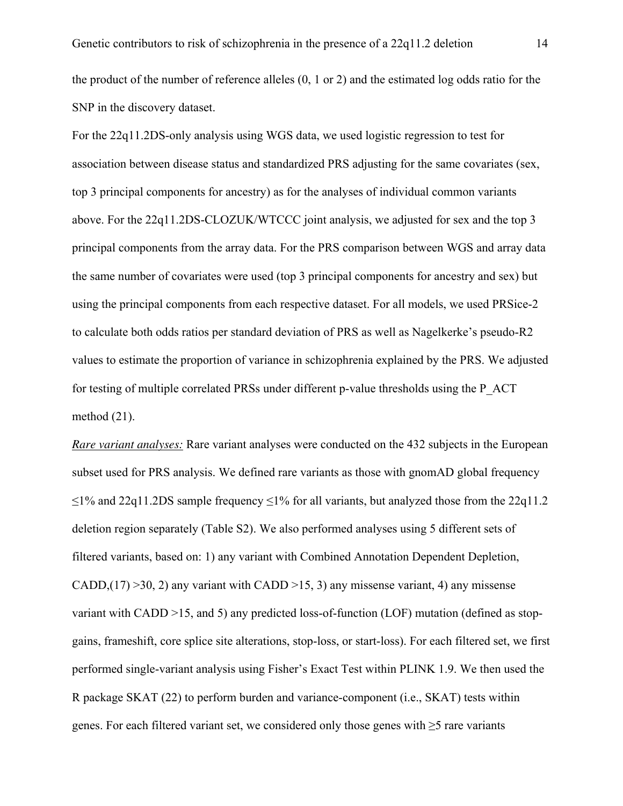the product of the number of reference alleles (0, 1 or 2) and the estimated log odds ratio for the SNP in the discovery dataset.

For the 22q11.2DS-only analysis using WGS data, we used logistic regression to test for association between disease status and standardized PRS adjusting for the same covariates (sex, top 3 principal components for ancestry) as for the analyses of individual common variants above. For the 22q11.2DS-CLOZUK/WTCCC joint analysis, we adjusted for sex and the top 3 principal components from the array data. For the PRS comparison between WGS and array data the same number of covariates were used (top 3 principal components for ancestry and sex) but using the principal components from each respective dataset. For all models, we used PRSice-2 to calculate both odds ratios per standard deviation of PRS as well as Nagelkerke's pseudo-R2 values to estimate the proportion of variance in schizophrenia explained by the PRS. We adjusted for testing of multiple correlated PRSs under different p-value thresholds using the P\_ACT method (21).

*Rare variant analyses:* Rare variant analyses were conducted on the 432 subjects in the European subset used for PRS analysis. We defined rare variants as those with gnomAD global frequency  $\leq$ 1% and 22q11.2DS sample frequency  $\leq$ 1% for all variants, but analyzed those from the 22q11.2 deletion region separately (Table S2). We also performed analyses using 5 different sets of filtered variants, based on: 1) any variant with Combined Annotation Dependent Depletion, CADD, $(17)$  >30, 2) any variant with CADD >15, 3) any missense variant, 4) any missense variant with CADD >15, and 5) any predicted loss-of-function (LOF) mutation (defined as stopgains, frameshift, core splice site alterations, stop-loss, or start-loss). For each filtered set, we first performed single-variant analysis using Fisher's Exact Test within PLINK 1.9. We then used the R package SKAT (22) to perform burden and variance-component (i.e., SKAT) tests within genes. For each filtered variant set, we considered only those genes with  $\geq$ 5 rare variants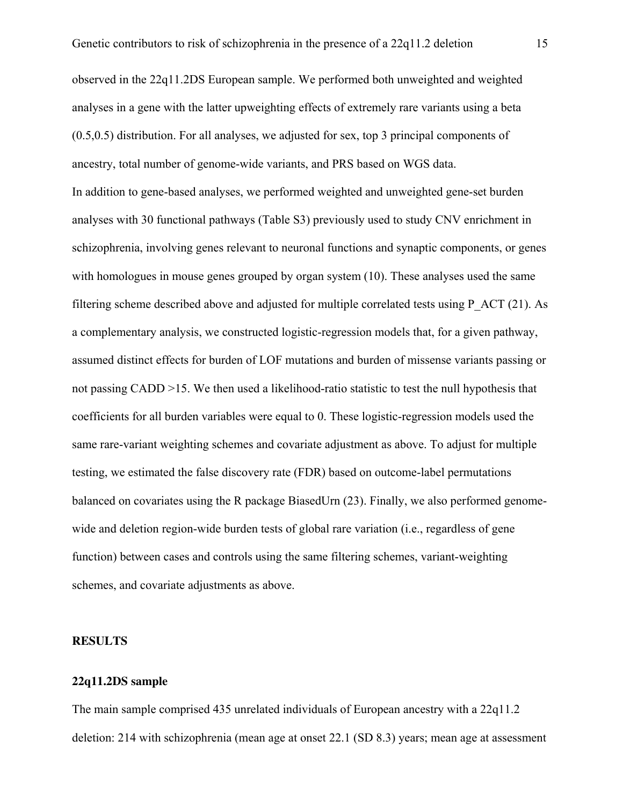observed in the 22q11.2DS European sample. We performed both unweighted and weighted analyses in a gene with the latter upweighting effects of extremely rare variants using a beta (0.5,0.5) distribution. For all analyses, we adjusted for sex, top 3 principal components of ancestry, total number of genome-wide variants, and PRS based on WGS data. In addition to gene-based analyses, we performed weighted and unweighted gene-set burden analyses with 30 functional pathways (Table S3) previously used to study CNV enrichment in schizophrenia, involving genes relevant to neuronal functions and synaptic components, or genes with homologues in mouse genes grouped by organ system (10). These analyses used the same filtering scheme described above and adjusted for multiple correlated tests using P\_ACT (21). As a complementary analysis, we constructed logistic-regression models that, for a given pathway, assumed distinct effects for burden of LOF mutations and burden of missense variants passing or not passing CADD >15. We then used a likelihood-ratio statistic to test the null hypothesis that coefficients for all burden variables were equal to 0. These logistic-regression models used the same rare-variant weighting schemes and covariate adjustment as above. To adjust for multiple testing, we estimated the false discovery rate (FDR) based on outcome-label permutations balanced on covariates using the R package BiasedUrn (23). Finally, we also performed genomewide and deletion region-wide burden tests of global rare variation (i.e., regardless of gene function) between cases and controls using the same filtering schemes, variant-weighting schemes, and covariate adjustments as above.

#### **RESULTS**

#### **22q11.2DS sample**

The main sample comprised 435 unrelated individuals of European ancestry with a 22q11.2 deletion: 214 with schizophrenia (mean age at onset 22.1 (SD 8.3) years; mean age at assessment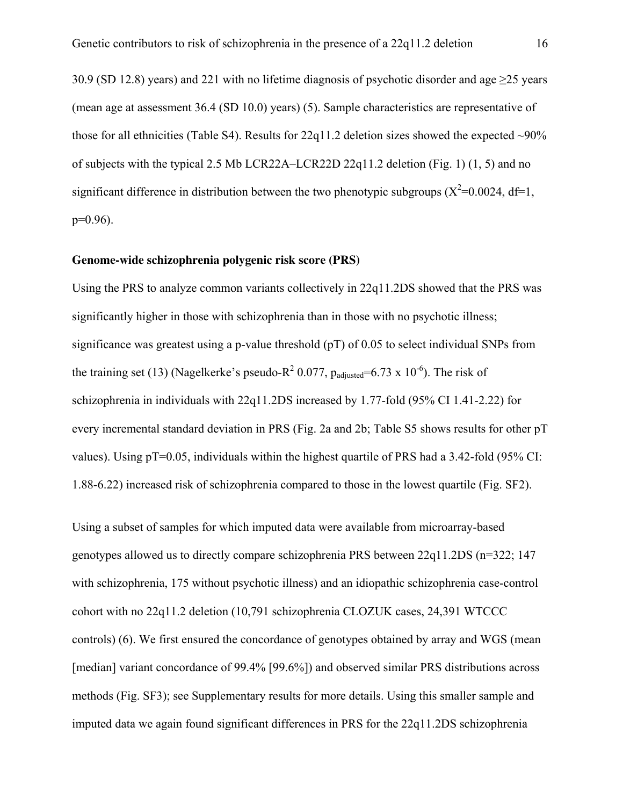30.9 (SD 12.8) years) and 221 with no lifetime diagnosis of psychotic disorder and age ≥25 years (mean age at assessment 36.4 (SD 10.0) years) (5). Sample characteristics are representative of those for all ethnicities (Table S4). Results for  $22q11.2$  deletion sizes showed the expected  $\sim 90\%$ of subjects with the typical 2.5 Mb LCR22A–LCR22D 22q11.2 deletion (Fig. 1) (1, 5) and no significant difference in distribution between the two phenotypic subgroups  $(X^2=0.0024, df=1,$  $p=0.96$ ).

#### **Genome-wide schizophrenia polygenic risk score (PRS)**

Using the PRS to analyze common variants collectively in 22q11.2DS showed that the PRS was significantly higher in those with schizophrenia than in those with no psychotic illness; significance was greatest using a p-value threshold (pT) of 0.05 to select individual SNPs from the training set (13) (Nagelkerke's pseudo-R<sup>2</sup> 0.077, p<sub>adjusted</sub>=6.73 x 10<sup>-6</sup>). The risk of schizophrenia in individuals with 22q11.2DS increased by 1.77-fold (95% CI 1.41-2.22) for every incremental standard deviation in PRS (Fig. 2a and 2b; Table S5 shows results for other pT values). Using  $pT=0.05$ , individuals within the highest quartile of PRS had a 3.42-fold (95% CI: 1.88-6.22) increased risk of schizophrenia compared to those in the lowest quartile (Fig. SF2).

Using a subset of samples for which imputed data were available from microarray-based genotypes allowed us to directly compare schizophrenia PRS between 22q11.2DS (n=322; 147 with schizophrenia, 175 without psychotic illness) and an idiopathic schizophrenia case-control cohort with no 22q11.2 deletion (10,791 schizophrenia CLOZUK cases, 24,391 WTCCC controls) (6). We first ensured the concordance of genotypes obtained by array and WGS (mean [median] variant concordance of 99.4% [99.6%]) and observed similar PRS distributions across methods (Fig. SF3); see Supplementary results for more details. Using this smaller sample and imputed data we again found significant differences in PRS for the 22q11.2DS schizophrenia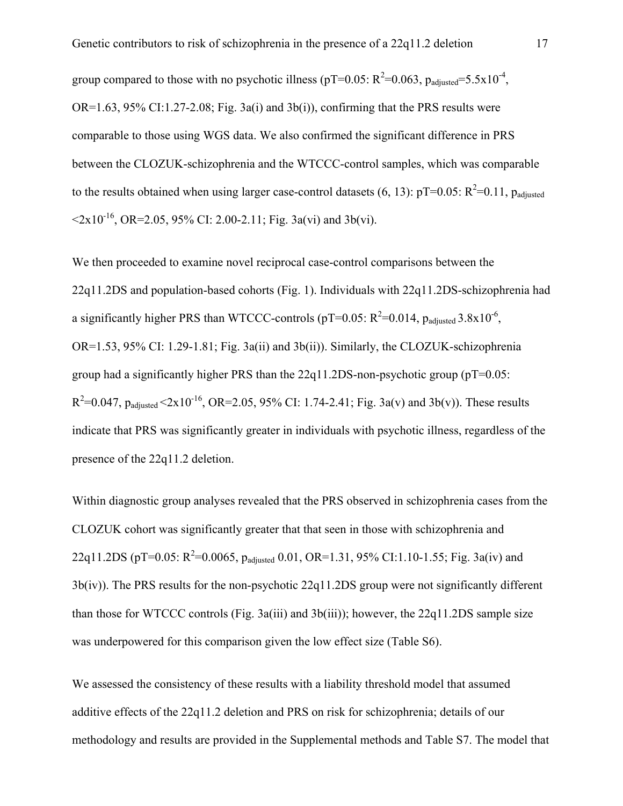group compared to those with no psychotic illness (pT=0.05:  $R^2$ =0.063,  $p_{adjusted}$ =5.5x10<sup>-4</sup>, OR=1.63, 95% CI:1.27-2.08; Fig. 3a(i) and 3b(i)), confirming that the PRS results were comparable to those using WGS data. We also confirmed the significant difference in PRS between the CLOZUK-schizophrenia and the WTCCC-control samples, which was comparable to the results obtained when using larger case-control datasets  $(6, 13)$ : pT=0.05: R<sup>2</sup>=0.11, p<sub>adjusted</sub>  $\leq 2x10^{-16}$ , OR=2.05, 95% CI: 2.00-2.11; Fig. 3a(vi) and 3b(vi).

We then proceeded to examine novel reciprocal case-control comparisons between the 22q11.2DS and population-based cohorts (Fig. 1). Individuals with 22q11.2DS-schizophrenia had a significantly higher PRS than WTCCC-controls (pT=0.05:  $R^2$ =0.014, p<sub>adjusted</sub> 3.8x10<sup>-6</sup>, OR=1.53, 95% CI: 1.29-1.81; Fig. 3a(ii) and 3b(ii)). Similarly, the CLOZUK-schizophrenia group had a significantly higher PRS than the  $22q11.2DS$ -non-psychotic group ( $pT=0.05$ :  $R^2$ =0.047,  $p_{adjusted}$  <2x10<sup>-16</sup>, OR=2.05, 95% CI: 1.74-2.41; Fig. 3a(v) and 3b(v)). These results indicate that PRS was significantly greater in individuals with psychotic illness, regardless of the presence of the 22q11.2 deletion.

Within diagnostic group analyses revealed that the PRS observed in schizophrenia cases from the CLOZUK cohort was significantly greater that that seen in those with schizophrenia and 22q11.2DS (pT=0.05:  $R^2$ =0.0065, p<sub>adjusted</sub> 0.01, OR=1.31, 95% CI:1.10-1.55; Fig. 3a(iv) and 3b(iv)). The PRS results for the non-psychotic 22q11.2DS group were not significantly different than those for WTCCC controls (Fig.  $3a(iii)$  and  $3b(iii)$ ); however, the  $22q11.2DS$  sample size was underpowered for this comparison given the low effect size (Table S6).

We assessed the consistency of these results with a liability threshold model that assumed additive effects of the 22q11.2 deletion and PRS on risk for schizophrenia; details of our methodology and results are provided in the Supplemental methods and Table S7. The model that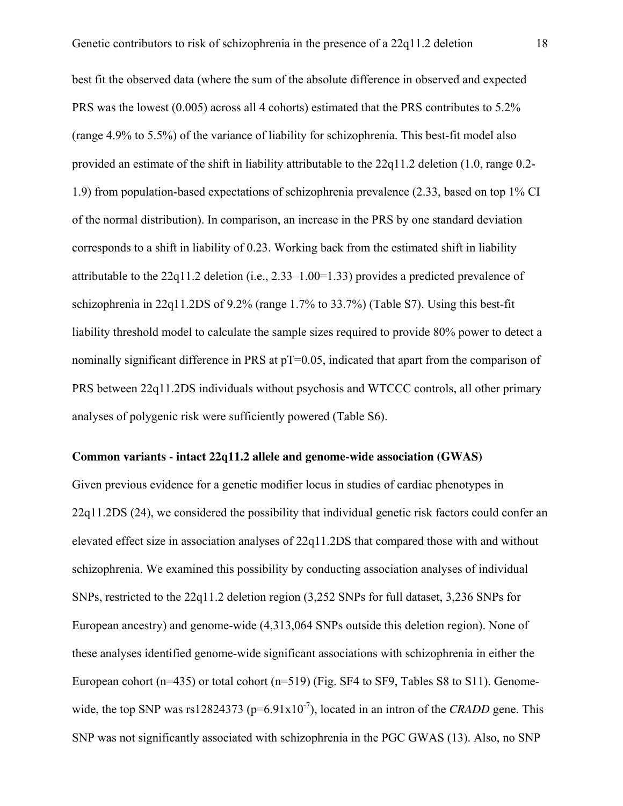best fit the observed data (where the sum of the absolute difference in observed and expected PRS was the lowest (0.005) across all 4 cohorts) estimated that the PRS contributes to 5.2% (range 4.9% to 5.5%) of the variance of liability for schizophrenia. This best-fit model also provided an estimate of the shift in liability attributable to the 22q11.2 deletion (1.0, range 0.2- 1.9) from population-based expectations of schizophrenia prevalence (2.33, based on top 1% CI of the normal distribution). In comparison, an increase in the PRS by one standard deviation corresponds to a shift in liability of 0.23. Working back from the estimated shift in liability attributable to the 22q11.2 deletion (i.e., 2.33–1.00=1.33) provides a predicted prevalence of schizophrenia in 22q11.2DS of 9.2% (range 1.7% to 33.7%) (Table S7). Using this best-fit liability threshold model to calculate the sample sizes required to provide 80% power to detect a nominally significant difference in PRS at pT=0.05, indicated that apart from the comparison of PRS between 22q11.2DS individuals without psychosis and WTCCC controls, all other primary analyses of polygenic risk were sufficiently powered (Table S6).

#### **Common variants - intact 22q11.2 allele and genome-wide association (GWAS)**

Given previous evidence for a genetic modifier locus in studies of cardiac phenotypes in 22q11.2DS (24), we considered the possibility that individual genetic risk factors could confer an elevated effect size in association analyses of 22q11.2DS that compared those with and without schizophrenia. We examined this possibility by conducting association analyses of individual SNPs, restricted to the 22q11.2 deletion region (3,252 SNPs for full dataset, 3,236 SNPs for European ancestry) and genome-wide (4,313,064 SNPs outside this deletion region). None of these analyses identified genome-wide significant associations with schizophrenia in either the European cohort (n=435) or total cohort (n=519) (Fig. SF4 to SF9, Tables S8 to S11). Genomewide, the top SNP was rs12824373 ( $p=6.91x10^{-7}$ ), located in an intron of the *CRADD* gene. This SNP was not significantly associated with schizophrenia in the PGC GWAS (13). Also, no SNP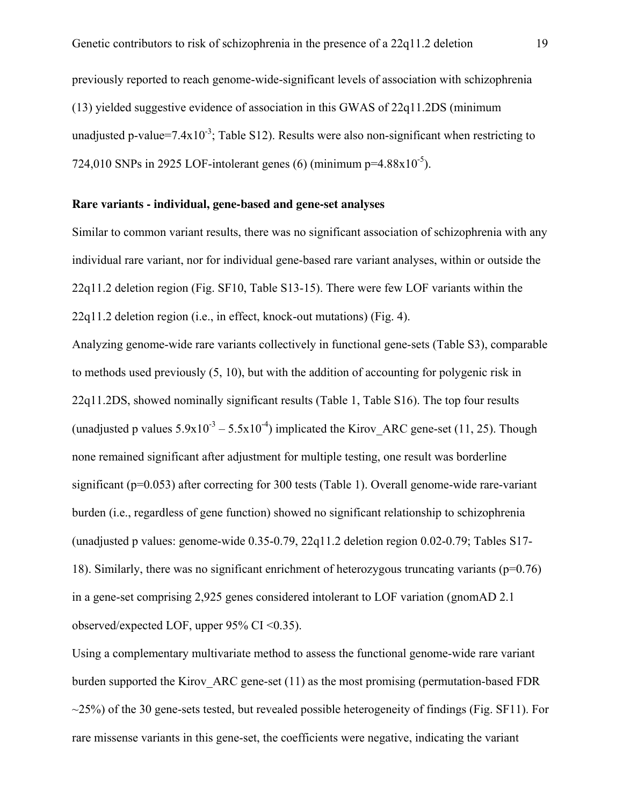previously reported to reach genome-wide-significant levels of association with schizophrenia (13) yielded suggestive evidence of association in this GWAS of 22q11.2DS (minimum unadjusted p-value=7.4x10<sup>-3</sup>; Table S12). Results were also non-significant when restricting to 724,010 SNPs in 2925 LOF-intolerant genes (6) (minimum  $p=4.88\times10^{-5}$ ).

#### **Rare variants - individual, gene-based and gene-set analyses**

Similar to common variant results, there was no significant association of schizophrenia with any individual rare variant, nor for individual gene-based rare variant analyses, within or outside the 22q11.2 deletion region (Fig. SF10, Table S13-15). There were few LOF variants within the 22q11.2 deletion region (i.e., in effect, knock-out mutations) (Fig. 4).

Analyzing genome-wide rare variants collectively in functional gene-sets (Table S3), comparable to methods used previously (5, 10), but with the addition of accounting for polygenic risk in 22q11.2DS, showed nominally significant results (Table 1, Table S16). The top four results (unadjusted p values  $5.9x10^{-3} - 5.5x10^{-4}$ ) implicated the Kirov ARC gene-set (11, 25). Though none remained significant after adjustment for multiple testing, one result was borderline significant (p=0.053) after correcting for 300 tests (Table 1). Overall genome-wide rare-variant burden (i.e., regardless of gene function) showed no significant relationship to schizophrenia (unadjusted p values: genome-wide 0.35-0.79, 22q11.2 deletion region 0.02-0.79; Tables S17- 18). Similarly, there was no significant enrichment of heterozygous truncating variants (p=0.76) in a gene-set comprising 2,925 genes considered intolerant to LOF variation (gnomAD 2.1 observed/expected LOF, upper 95% CI <0.35).

Using a complementary multivariate method to assess the functional genome-wide rare variant burden supported the Kirov\_ARC gene-set (11) as the most promising (permutation-based FDR  $\sim$ 25%) of the 30 gene-sets tested, but revealed possible heterogeneity of findings (Fig. SF11). For rare missense variants in this gene-set, the coefficients were negative, indicating the variant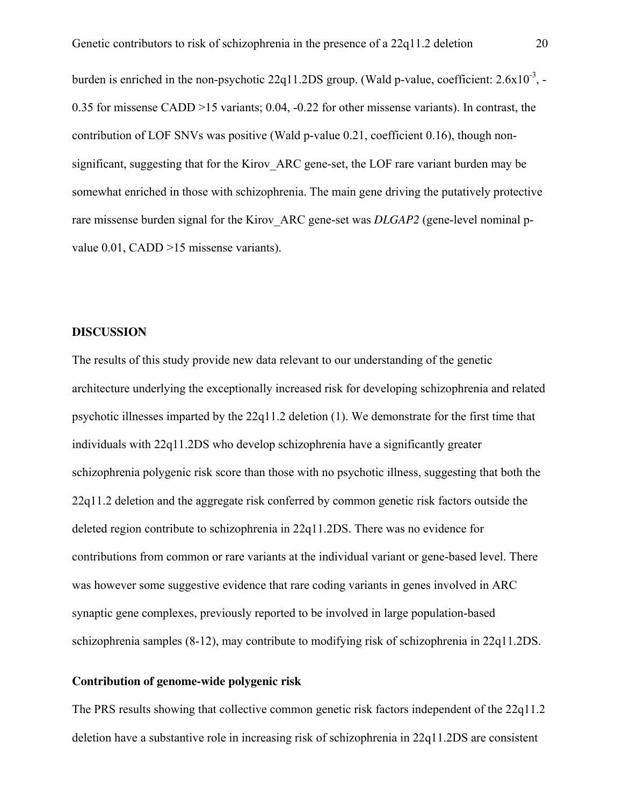burden is enriched in the non-psychotic 22q11.2DS group. (Wald p-value, coefficient: 2.6x10<sup>-3</sup>, -0.35 for missense CADD >15 variants; 0.04, -0.22 for other missense variants). In contrast, the contribution of LOF SNVs was positive (Wald p-value 0.21, coefficient 0.16), though nonsignificant, suggesting that for the Kirov ARC gene-set, the LOF rare variant burden may be somewhat enriched in those with schizophrenia. The main gene driving the putatively protective rare missense burden signal for the Kirov ARC gene-set was *DLGAP2* (gene-level nominal pvalue 0.01, CADD >15 missense variants).

#### **DISCUSSION**

The results of this study provide new data relevant to our understanding of the genetic architecture underlying the exceptionally increased risk for developing schizophrenia and related psychotic illnesses imparted by the 22q11.2 deletion (1). We demonstrate for the first time that individuals with 22q11.2DS who develop schizophrenia have a significantly greater schizophrenia polygenic risk score than those with no psychotic illness, suggesting that both the 22q11.2 deletion and the aggregate risk conferred by common genetic risk factors outside the deleted region contribute to schizophrenia in 22q11.2DS. There was no evidence for contributions from common or rare variants at the individual variant or gene-based level. There was however some suggestive evidence that rare coding variants in genes involved in ARC synaptic gene complexes, previously reported to be involved in large population-based schizophrenia samples (8-12), may contribute to modifying risk of schizophrenia in 22q11.2DS.

#### **Contribution of genome-wide polygenic risk**

The PRS results showing that collective common genetic risk factors independent of the 22q11.2 deletion have a substantive role in increasing risk of schizophrenia in 22q11.2DS are consistent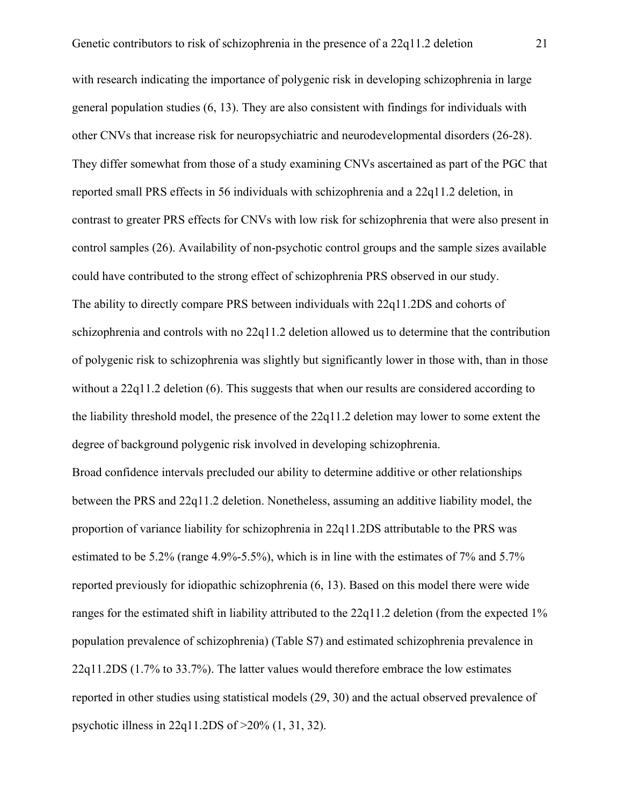with research indicating the importance of polygenic risk in developing schizophrenia in large general population studies (6, 13). They are also consistent with findings for individuals with other CNVs that increase risk for neuropsychiatric and neurodevelopmental disorders (26-28). They differ somewhat from those of a study examining CNVs ascertained as part of the PGC that reported small PRS effects in 56 individuals with schizophrenia and a 22q11.2 deletion, in contrast to greater PRS effects for CNVs with low risk for schizophrenia that were also present in control samples (26). Availability of non-psychotic control groups and the sample sizes available could have contributed to the strong effect of schizophrenia PRS observed in our study. The ability to directly compare PRS between individuals with 22q11.2DS and cohorts of schizophrenia and controls with no 22q11.2 deletion allowed us to determine that the contribution of polygenic risk to schizophrenia was slightly but significantly lower in those with, than in those without a 22q11.2 deletion (6). This suggests that when our results are considered according to the liability threshold model, the presence of the 22q11.2 deletion may lower to some extent the degree of background polygenic risk involved in developing schizophrenia.

Broad confidence intervals precluded our ability to determine additive or other relationships between the PRS and 22q11.2 deletion. Nonetheless, assuming an additive liability model, the proportion of variance liability for schizophrenia in 22q11.2DS attributable to the PRS was estimated to be 5.2% (range 4.9%-5.5%), which is in line with the estimates of 7% and 5.7% reported previously for idiopathic schizophrenia (6, 13). Based on this model there were wide ranges for the estimated shift in liability attributed to the 22q11.2 deletion (from the expected 1% population prevalence of schizophrenia) (Table S7) and estimated schizophrenia prevalence in 22q11.2DS (1.7% to 33.7%). The latter values would therefore embrace the low estimates reported in other studies using statistical models (29, 30) and the actual observed prevalence of psychotic illness in 22q11.2DS of >20% (1, 31, 32).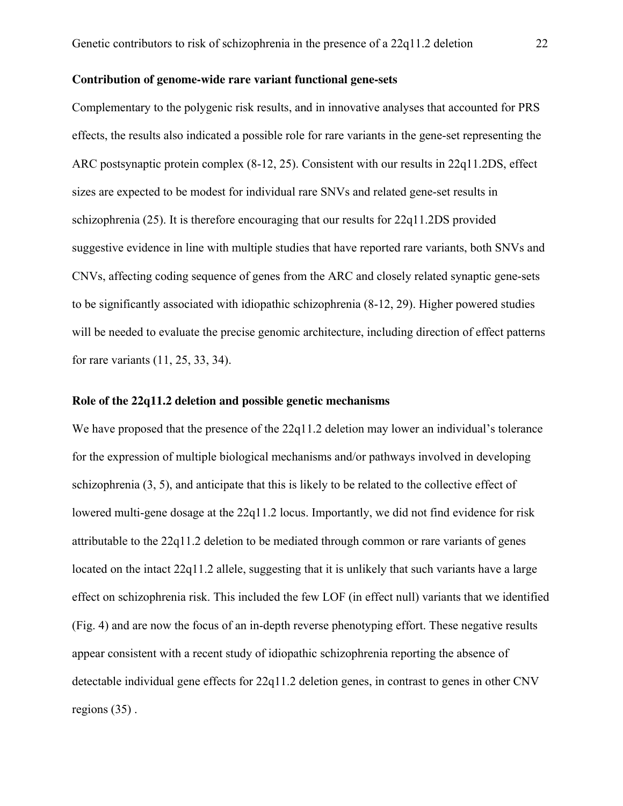#### **Contribution of genome-wide rare variant functional gene-sets**

Complementary to the polygenic risk results, and in innovative analyses that accounted for PRS effects, the results also indicated a possible role for rare variants in the gene-set representing the ARC postsynaptic protein complex (8-12, 25). Consistent with our results in 22q11.2DS, effect sizes are expected to be modest for individual rare SNVs and related gene-set results in schizophrenia (25). It is therefore encouraging that our results for 22q11.2DS provided suggestive evidence in line with multiple studies that have reported rare variants, both SNVs and CNVs, affecting coding sequence of genes from the ARC and closely related synaptic gene-sets to be significantly associated with idiopathic schizophrenia (8-12, 29). Higher powered studies will be needed to evaluate the precise genomic architecture, including direction of effect patterns for rare variants (11, 25, 33, 34).

#### **Role of the 22q11.2 deletion and possible genetic mechanisms**

We have proposed that the presence of the 22q11.2 deletion may lower an individual's tolerance for the expression of multiple biological mechanisms and/or pathways involved in developing schizophrenia (3, 5), and anticipate that this is likely to be related to the collective effect of lowered multi-gene dosage at the 22q11.2 locus. Importantly, we did not find evidence for risk attributable to the 22q11.2 deletion to be mediated through common or rare variants of genes located on the intact 22q11.2 allele, suggesting that it is unlikely that such variants have a large effect on schizophrenia risk. This included the few LOF (in effect null) variants that we identified (Fig. 4) and are now the focus of an in-depth reverse phenotyping effort. These negative results appear consistent with a recent study of idiopathic schizophrenia reporting the absence of detectable individual gene effects for 22q11.2 deletion genes, in contrast to genes in other CNV regions (35) .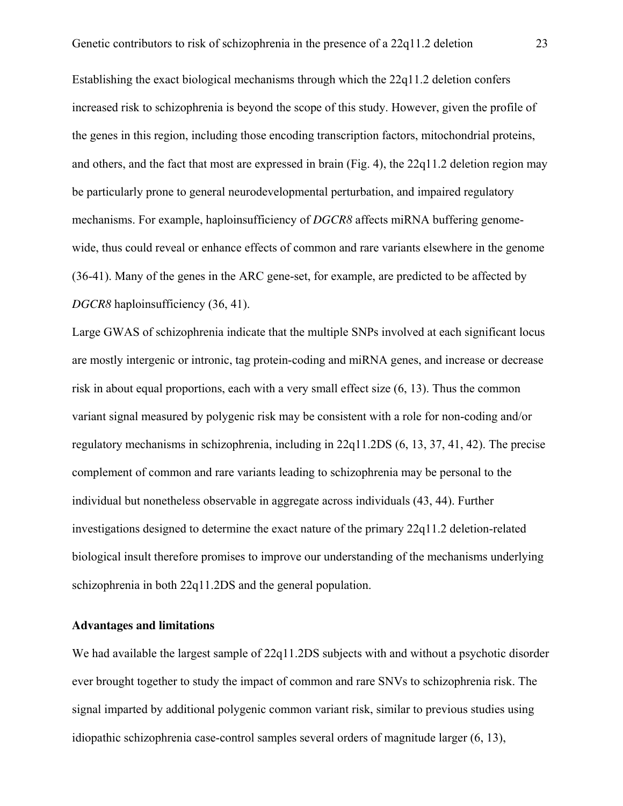Establishing the exact biological mechanisms through which the 22q11.2 deletion confers increased risk to schizophrenia is beyond the scope of this study. However, given the profile of the genes in this region, including those encoding transcription factors, mitochondrial proteins, and others, and the fact that most are expressed in brain (Fig. 4), the 22q11.2 deletion region may be particularly prone to general neurodevelopmental perturbation, and impaired regulatory mechanisms. For example, haploinsufficiency of *DGCR8* affects miRNA buffering genomewide, thus could reveal or enhance effects of common and rare variants elsewhere in the genome (36-41). Many of the genes in the ARC gene-set, for example, are predicted to be affected by *DGCR8* haploinsufficiency (36, 41).

Large GWAS of schizophrenia indicate that the multiple SNPs involved at each significant locus are mostly intergenic or intronic, tag protein-coding and miRNA genes, and increase or decrease risk in about equal proportions, each with a very small effect size (6, 13). Thus the common variant signal measured by polygenic risk may be consistent with a role for non-coding and/or regulatory mechanisms in schizophrenia, including in 22q11.2DS (6, 13, 37, 41, 42). The precise complement of common and rare variants leading to schizophrenia may be personal to the individual but nonetheless observable in aggregate across individuals (43, 44). Further investigations designed to determine the exact nature of the primary 22q11.2 deletion-related biological insult therefore promises to improve our understanding of the mechanisms underlying schizophrenia in both 22q11.2DS and the general population.

#### **Advantages and limitations**

We had available the largest sample of 22q11.2DS subjects with and without a psychotic disorder ever brought together to study the impact of common and rare SNVs to schizophrenia risk. The signal imparted by additional polygenic common variant risk, similar to previous studies using idiopathic schizophrenia case-control samples several orders of magnitude larger (6, 13),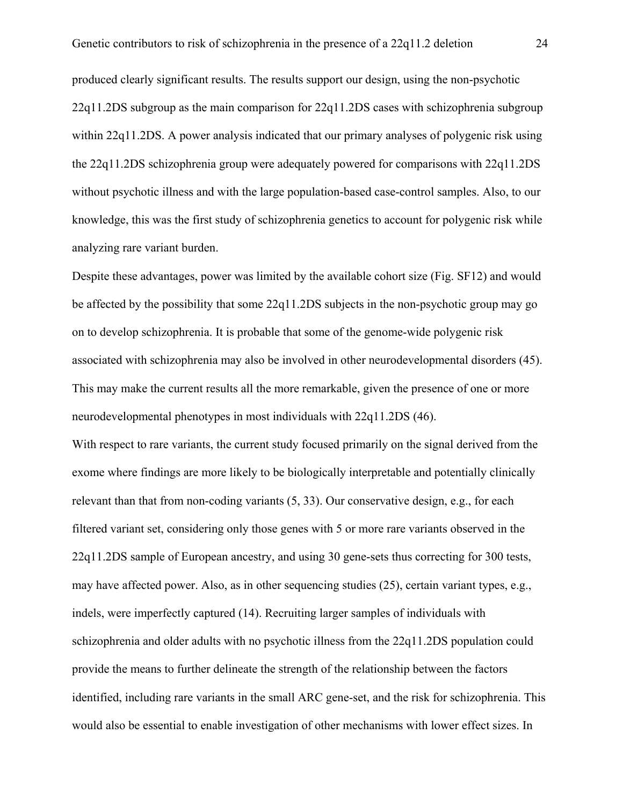produced clearly significant results. The results support our design, using the non-psychotic 22q11.2DS subgroup as the main comparison for 22q11.2DS cases with schizophrenia subgroup within 22q11.2DS. A power analysis indicated that our primary analyses of polygenic risk using the 22q11.2DS schizophrenia group were adequately powered for comparisons with 22q11.2DS without psychotic illness and with the large population-based case-control samples. Also, to our knowledge, this was the first study of schizophrenia genetics to account for polygenic risk while analyzing rare variant burden.

Despite these advantages, power was limited by the available cohort size (Fig. SF12) and would be affected by the possibility that some 22q11.2DS subjects in the non-psychotic group may go on to develop schizophrenia. It is probable that some of the genome-wide polygenic risk associated with schizophrenia may also be involved in other neurodevelopmental disorders (45). This may make the current results all the more remarkable, given the presence of one or more neurodevelopmental phenotypes in most individuals with 22q11.2DS (46).

With respect to rare variants, the current study focused primarily on the signal derived from the exome where findings are more likely to be biologically interpretable and potentially clinically relevant than that from non-coding variants (5, 33). Our conservative design, e.g., for each filtered variant set, considering only those genes with 5 or more rare variants observed in the 22q11.2DS sample of European ancestry, and using 30 gene-sets thus correcting for 300 tests, may have affected power. Also, as in other sequencing studies (25), certain variant types, e.g., indels, were imperfectly captured (14). Recruiting larger samples of individuals with schizophrenia and older adults with no psychotic illness from the 22q11.2DS population could provide the means to further delineate the strength of the relationship between the factors identified, including rare variants in the small ARC gene-set, and the risk for schizophrenia. This would also be essential to enable investigation of other mechanisms with lower effect sizes. In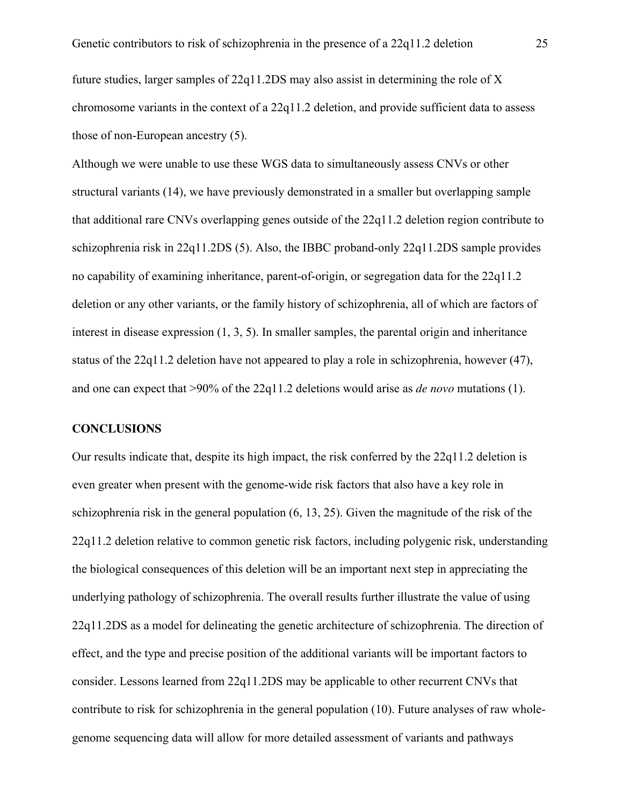future studies, larger samples of 22q11.2DS may also assist in determining the role of X chromosome variants in the context of a 22q11.2 deletion, and provide sufficient data to assess those of non-European ancestry (5).

Although we were unable to use these WGS data to simultaneously assess CNVs or other structural variants (14), we have previously demonstrated in a smaller but overlapping sample that additional rare CNVs overlapping genes outside of the 22q11.2 deletion region contribute to schizophrenia risk in 22q11.2DS (5). Also, the IBBC proband-only 22q11.2DS sample provides no capability of examining inheritance, parent-of-origin, or segregation data for the 22q11.2 deletion or any other variants, or the family history of schizophrenia, all of which are factors of interest in disease expression (1, 3, 5). In smaller samples, the parental origin and inheritance status of the 22q11.2 deletion have not appeared to play a role in schizophrenia, however (47), and one can expect that >90% of the 22q11.2 deletions would arise as *de novo* mutations (1).

#### **CONCLUSIONS**

Our results indicate that, despite its high impact, the risk conferred by the 22q11.2 deletion is even greater when present with the genome-wide risk factors that also have a key role in schizophrenia risk in the general population (6, 13, 25). Given the magnitude of the risk of the 22q11.2 deletion relative to common genetic risk factors, including polygenic risk, understanding the biological consequences of this deletion will be an important next step in appreciating the underlying pathology of schizophrenia. The overall results further illustrate the value of using 22q11.2DS as a model for delineating the genetic architecture of schizophrenia. The direction of effect, and the type and precise position of the additional variants will be important factors to consider. Lessons learned from 22q11.2DS may be applicable to other recurrent CNVs that contribute to risk for schizophrenia in the general population (10). Future analyses of raw wholegenome sequencing data will allow for more detailed assessment of variants and pathways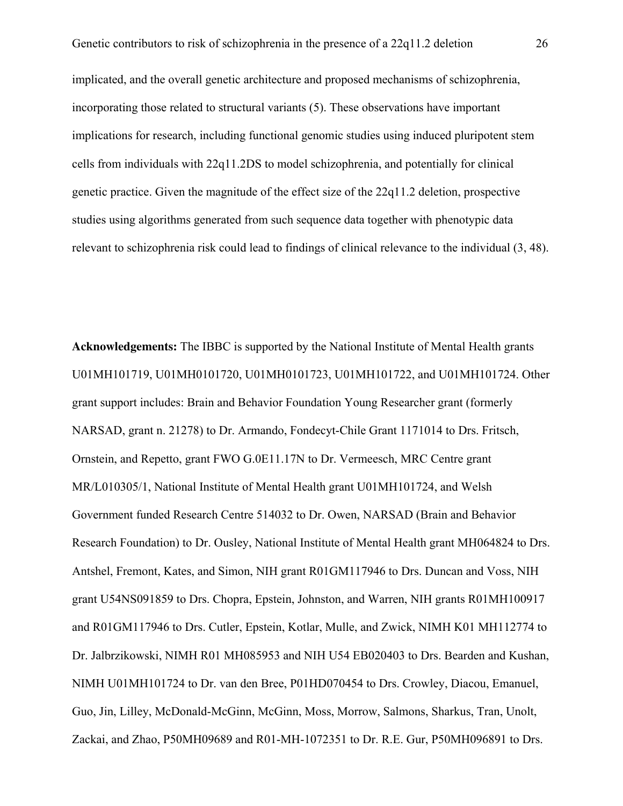implicated, and the overall genetic architecture and proposed mechanisms of schizophrenia, incorporating those related to structural variants (5). These observations have important implications for research, including functional genomic studies using induced pluripotent stem cells from individuals with 22q11.2DS to model schizophrenia, and potentially for clinical genetic practice. Given the magnitude of the effect size of the 22q11.2 deletion, prospective studies using algorithms generated from such sequence data together with phenotypic data relevant to schizophrenia risk could lead to findings of clinical relevance to the individual (3, 48).

**Acknowledgements:** The IBBC is supported by the National Institute of Mental Health grants U01MH101719, U01MH0101720, U01MH0101723, U01MH101722, and U01MH101724. Other grant support includes: Brain and Behavior Foundation Young Researcher grant (formerly NARSAD, grant n. 21278) to Dr. Armando, Fondecyt-Chile Grant 1171014 to Drs. Fritsch, Ornstein, and Repetto, grant FWO G.0E11.17N to Dr. Vermeesch, MRC Centre grant MR/L010305/1, National Institute of Mental Health grant U01MH101724, and Welsh Government funded Research Centre 514032 to Dr. Owen, NARSAD (Brain and Behavior Research Foundation) to Dr. Ousley, National Institute of Mental Health grant MH064824 to Drs. Antshel, Fremont, Kates, and Simon, NIH grant R01GM117946 to Drs. Duncan and Voss, NIH grant U54NS091859 to Drs. Chopra, Epstein, Johnston, and Warren, NIH grants R01MH100917 and R01GM117946 to Drs. Cutler, Epstein, Kotlar, Mulle, and Zwick, NIMH K01 MH112774 to Dr. Jalbrzikowski, NIMH R01 MH085953 and NIH U54 EB020403 to Drs. Bearden and Kushan, NIMH U01MH101724 to Dr. van den Bree, P01HD070454 to Drs. Crowley, Diacou, Emanuel, Guo, Jin, Lilley, McDonald-McGinn, McGinn, Moss, Morrow, Salmons, Sharkus, Tran, Unolt, Zackai, and Zhao, P50MH09689 and R01-MH-1072351 to Dr. R.E. Gur, P50MH096891 to Drs.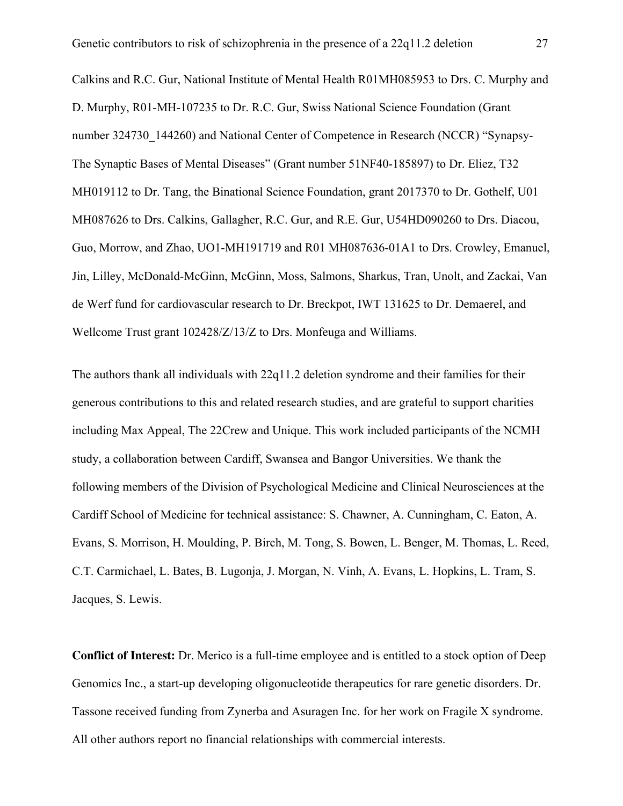Calkins and R.C. Gur, National Institute of Mental Health R01MH085953 to Drs. C. Murphy and D. Murphy, R01-MH-107235 to Dr. R.C. Gur, Swiss National Science Foundation (Grant number 324730 144260) and National Center of Competence in Research (NCCR) "Synapsy-The Synaptic Bases of Mental Diseases" (Grant number 51NF40-185897) to Dr. Eliez, T32 MH019112 to Dr. Tang, the Binational Science Foundation, grant 2017370 to Dr. Gothelf, U01 MH087626 to Drs. Calkins, Gallagher, R.C. Gur, and R.E. Gur, U54HD090260 to Drs. Diacou, Guo, Morrow, and Zhao, UO1-MH191719 and R01 MH087636-01A1 to Drs. Crowley, Emanuel, Jin, Lilley, McDonald-McGinn, McGinn, Moss, Salmons, Sharkus, Tran, Unolt, and Zackai, Van de Werf fund for cardiovascular research to Dr. Breckpot, IWT 131625 to Dr. Demaerel, and Wellcome Trust grant 102428/Z/13/Z to Drs. Monfeuga and Williams.

The authors thank all individuals with 22q11.2 deletion syndrome and their families for their generous contributions to this and related research studies, and are grateful to support charities including Max Appeal, The 22Crew and Unique. This work included participants of the NCMH study, a collaboration between Cardiff, Swansea and Bangor Universities. We thank the following members of the Division of Psychological Medicine and Clinical Neurosciences at the Cardiff School of Medicine for technical assistance: S. Chawner, A. Cunningham, C. Eaton, A. Evans, S. Morrison, H. Moulding, P. Birch, M. Tong, S. Bowen, L. Benger, M. Thomas, L. Reed, C.T. Carmichael, L. Bates, B. Lugonja, J. Morgan, N. Vinh, A. Evans, L. Hopkins, L. Tram, S. Jacques, S. Lewis.

**Conflict of Interest:** Dr. Merico is a full-time employee and is entitled to a stock option of Deep Genomics Inc., a start-up developing oligonucleotide therapeutics for rare genetic disorders. Dr. Tassone received funding from Zynerba and Asuragen Inc. for her work on Fragile X syndrome. All other authors report no financial relationships with commercial interests.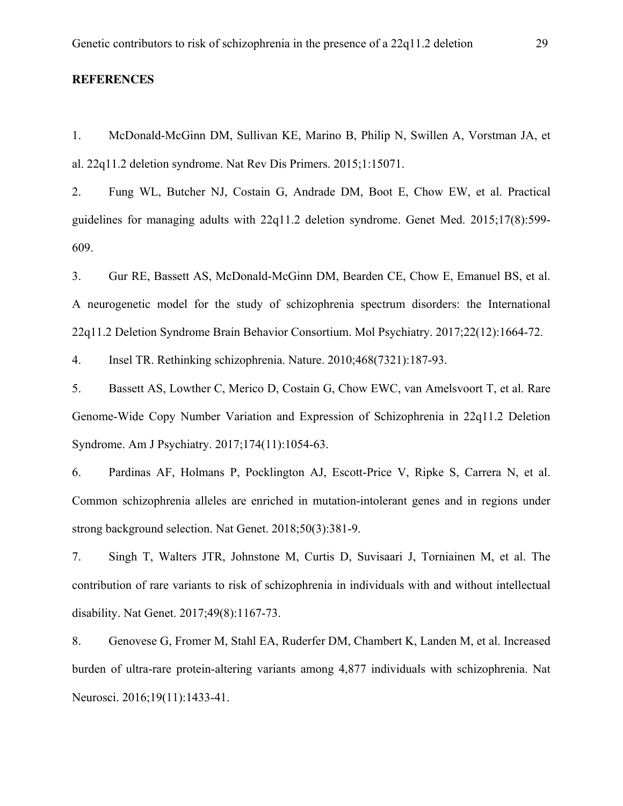#### **REFERENCES**

1. McDonald-McGinn DM, Sullivan KE, Marino B, Philip N, Swillen A, Vorstman JA, et al. 22q11.2 deletion syndrome. Nat Rev Dis Primers. 2015;1:15071.

2. Fung WL, Butcher NJ, Costain G, Andrade DM, Boot E, Chow EW, et al. Practical guidelines for managing adults with 22q11.2 deletion syndrome. Genet Med. 2015;17(8):599- 609.

3. Gur RE, Bassett AS, McDonald-McGinn DM, Bearden CE, Chow E, Emanuel BS, et al. A neurogenetic model for the study of schizophrenia spectrum disorders: the International 22q11.2 Deletion Syndrome Brain Behavior Consortium. Mol Psychiatry. 2017;22(12):1664-72.

4. Insel TR. Rethinking schizophrenia. Nature. 2010;468(7321):187-93.

5. Bassett AS, Lowther C, Merico D, Costain G, Chow EWC, van Amelsvoort T, et al. Rare Genome-Wide Copy Number Variation and Expression of Schizophrenia in 22q11.2 Deletion Syndrome. Am J Psychiatry. 2017;174(11):1054-63.

6. Pardinas AF, Holmans P, Pocklington AJ, Escott-Price V, Ripke S, Carrera N, et al. Common schizophrenia alleles are enriched in mutation-intolerant genes and in regions under strong background selection. Nat Genet. 2018;50(3):381-9.

7. Singh T, Walters JTR, Johnstone M, Curtis D, Suvisaari J, Torniainen M, et al. The contribution of rare variants to risk of schizophrenia in individuals with and without intellectual disability. Nat Genet. 2017;49(8):1167-73.

8. Genovese G, Fromer M, Stahl EA, Ruderfer DM, Chambert K, Landen M, et al. Increased burden of ultra-rare protein-altering variants among 4,877 individuals with schizophrenia. Nat Neurosci. 2016;19(11):1433-41.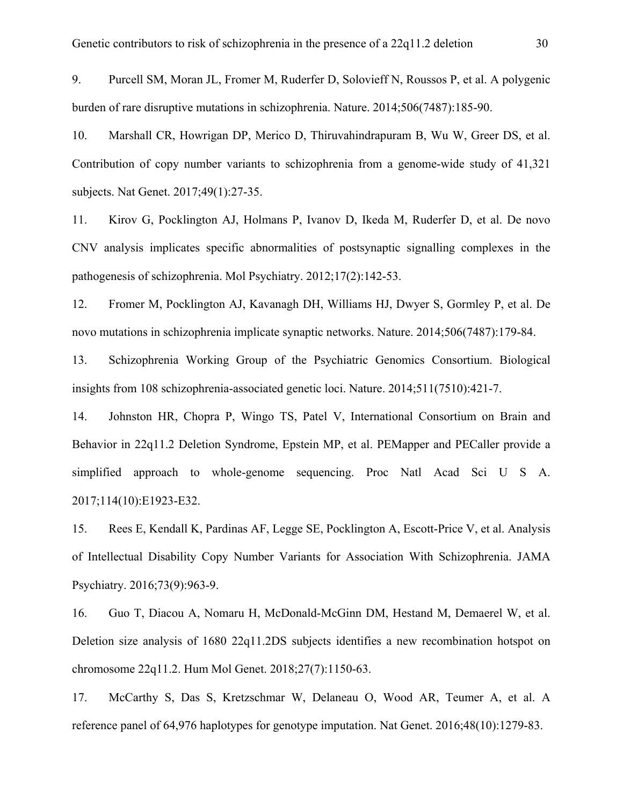9. Purcell SM, Moran JL, Fromer M, Ruderfer D, Solovieff N, Roussos P, et al. A polygenic burden of rare disruptive mutations in schizophrenia. Nature. 2014;506(7487):185-90.

10. Marshall CR, Howrigan DP, Merico D, Thiruvahindrapuram B, Wu W, Greer DS, et al. Contribution of copy number variants to schizophrenia from a genome-wide study of 41,321 subjects. Nat Genet. 2017;49(1):27-35.

11. Kirov G, Pocklington AJ, Holmans P, Ivanov D, Ikeda M, Ruderfer D, et al. De novo CNV analysis implicates specific abnormalities of postsynaptic signalling complexes in the pathogenesis of schizophrenia. Mol Psychiatry. 2012;17(2):142-53.

12. Fromer M, Pocklington AJ, Kavanagh DH, Williams HJ, Dwyer S, Gormley P, et al. De novo mutations in schizophrenia implicate synaptic networks. Nature. 2014;506(7487):179-84.

13. Schizophrenia Working Group of the Psychiatric Genomics Consortium. Biological insights from 108 schizophrenia-associated genetic loci. Nature. 2014;511(7510):421-7.

14. Johnston HR, Chopra P, Wingo TS, Patel V, International Consortium on Brain and Behavior in 22q11.2 Deletion Syndrome, Epstein MP, et al. PEMapper and PECaller provide a simplified approach to whole-genome sequencing. Proc Natl Acad Sci U S A. 2017;114(10):E1923-E32.

15. Rees E, Kendall K, Pardinas AF, Legge SE, Pocklington A, Escott-Price V, et al. Analysis of Intellectual Disability Copy Number Variants for Association With Schizophrenia. JAMA Psychiatry. 2016;73(9):963-9.

16. Guo T, Diacou A, Nomaru H, McDonald-McGinn DM, Hestand M, Demaerel W, et al. Deletion size analysis of 1680 22q11.2DS subjects identifies a new recombination hotspot on chromosome 22q11.2. Hum Mol Genet. 2018;27(7):1150-63.

17. McCarthy S, Das S, Kretzschmar W, Delaneau O, Wood AR, Teumer A, et al. A reference panel of 64,976 haplotypes for genotype imputation. Nat Genet. 2016;48(10):1279-83.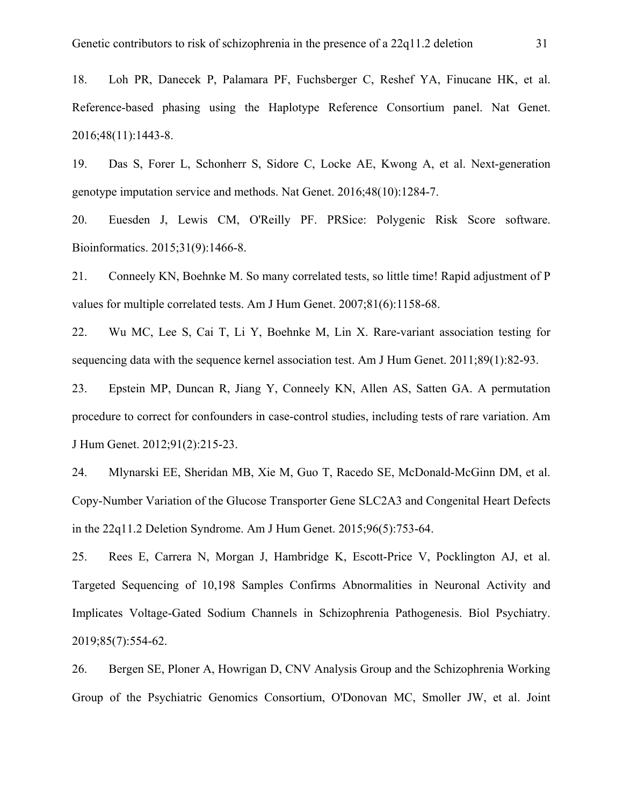18. Loh PR, Danecek P, Palamara PF, Fuchsberger C, Reshef YA, Finucane HK, et al. Reference-based phasing using the Haplotype Reference Consortium panel. Nat Genet. 2016;48(11):1443-8.

19. Das S, Forer L, Schonherr S, Sidore C, Locke AE, Kwong A, et al. Next-generation genotype imputation service and methods. Nat Genet. 2016;48(10):1284-7.

20. Euesden J, Lewis CM, O'Reilly PF. PRSice: Polygenic Risk Score software. Bioinformatics. 2015;31(9):1466-8.

21. Conneely KN, Boehnke M. So many correlated tests, so little time! Rapid adjustment of P values for multiple correlated tests. Am J Hum Genet. 2007;81(6):1158-68.

22. Wu MC, Lee S, Cai T, Li Y, Boehnke M, Lin X. Rare-variant association testing for sequencing data with the sequence kernel association test. Am J Hum Genet. 2011;89(1):82-93.

23. Epstein MP, Duncan R, Jiang Y, Conneely KN, Allen AS, Satten GA. A permutation procedure to correct for confounders in case-control studies, including tests of rare variation. Am J Hum Genet. 2012;91(2):215-23.

24. Mlynarski EE, Sheridan MB, Xie M, Guo T, Racedo SE, McDonald-McGinn DM, et al. Copy-Number Variation of the Glucose Transporter Gene SLC2A3 and Congenital Heart Defects in the 22q11.2 Deletion Syndrome. Am J Hum Genet. 2015;96(5):753-64.

25. Rees E, Carrera N, Morgan J, Hambridge K, Escott-Price V, Pocklington AJ, et al. Targeted Sequencing of 10,198 Samples Confirms Abnormalities in Neuronal Activity and Implicates Voltage-Gated Sodium Channels in Schizophrenia Pathogenesis. Biol Psychiatry. 2019;85(7):554-62.

26. Bergen SE, Ploner A, Howrigan D, CNV Analysis Group and the Schizophrenia Working Group of the Psychiatric Genomics Consortium, O'Donovan MC, Smoller JW, et al. Joint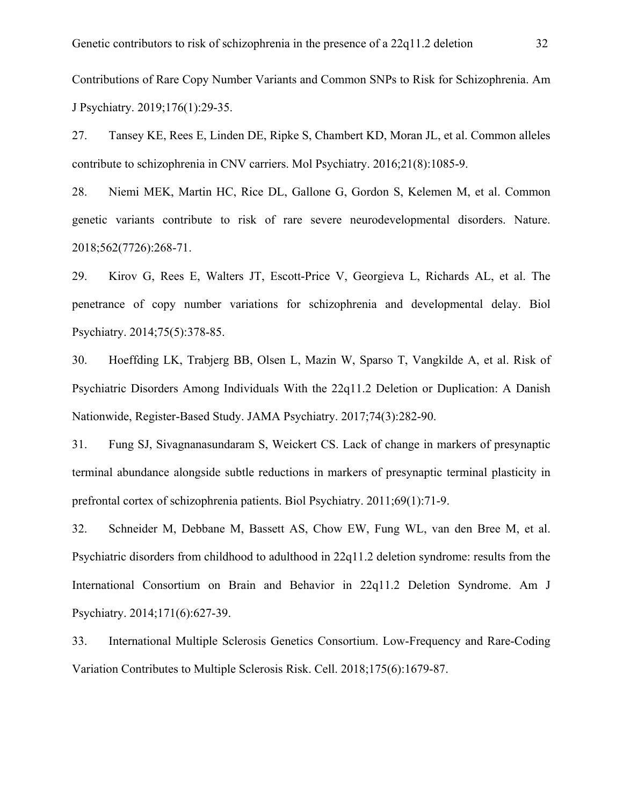Contributions of Rare Copy Number Variants and Common SNPs to Risk for Schizophrenia. Am J Psychiatry. 2019;176(1):29-35.

27. Tansey KE, Rees E, Linden DE, Ripke S, Chambert KD, Moran JL, et al. Common alleles contribute to schizophrenia in CNV carriers. Mol Psychiatry. 2016;21(8):1085-9.

28. Niemi MEK, Martin HC, Rice DL, Gallone G, Gordon S, Kelemen M, et al. Common genetic variants contribute to risk of rare severe neurodevelopmental disorders. Nature. 2018;562(7726):268-71.

29. Kirov G, Rees E, Walters JT, Escott-Price V, Georgieva L, Richards AL, et al. The penetrance of copy number variations for schizophrenia and developmental delay. Biol Psychiatry. 2014;75(5):378-85.

30. Hoeffding LK, Trabjerg BB, Olsen L, Mazin W, Sparso T, Vangkilde A, et al. Risk of Psychiatric Disorders Among Individuals With the 22q11.2 Deletion or Duplication: A Danish Nationwide, Register-Based Study. JAMA Psychiatry. 2017;74(3):282-90.

31. Fung SJ, Sivagnanasundaram S, Weickert CS. Lack of change in markers of presynaptic terminal abundance alongside subtle reductions in markers of presynaptic terminal plasticity in prefrontal cortex of schizophrenia patients. Biol Psychiatry. 2011;69(1):71-9.

32. Schneider M, Debbane M, Bassett AS, Chow EW, Fung WL, van den Bree M, et al. Psychiatric disorders from childhood to adulthood in 22q11.2 deletion syndrome: results from the International Consortium on Brain and Behavior in 22q11.2 Deletion Syndrome. Am J Psychiatry. 2014;171(6):627-39.

33. International Multiple Sclerosis Genetics Consortium. Low-Frequency and Rare-Coding Variation Contributes to Multiple Sclerosis Risk. Cell. 2018;175(6):1679-87.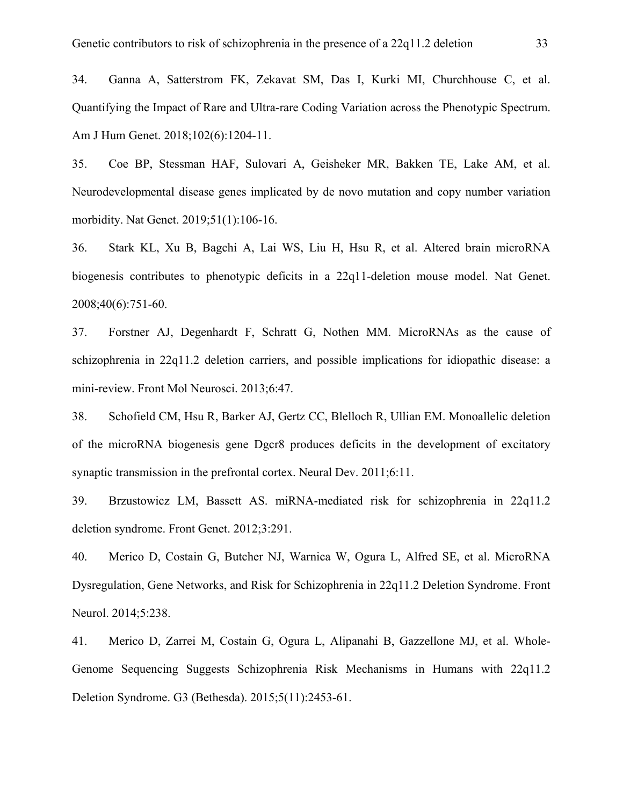34. Ganna A, Satterstrom FK, Zekavat SM, Das I, Kurki MI, Churchhouse C, et al. Quantifying the Impact of Rare and Ultra-rare Coding Variation across the Phenotypic Spectrum. Am J Hum Genet. 2018;102(6):1204-11.

35. Coe BP, Stessman HAF, Sulovari A, Geisheker MR, Bakken TE, Lake AM, et al. Neurodevelopmental disease genes implicated by de novo mutation and copy number variation morbidity. Nat Genet. 2019;51(1):106-16.

36. Stark KL, Xu B, Bagchi A, Lai WS, Liu H, Hsu R, et al. Altered brain microRNA biogenesis contributes to phenotypic deficits in a 22q11-deletion mouse model. Nat Genet. 2008;40(6):751-60.

37. Forstner AJ, Degenhardt F, Schratt G, Nothen MM. MicroRNAs as the cause of schizophrenia in 22q11.2 deletion carriers, and possible implications for idiopathic disease: a mini-review. Front Mol Neurosci. 2013;6:47.

38. Schofield CM, Hsu R, Barker AJ, Gertz CC, Blelloch R, Ullian EM. Monoallelic deletion of the microRNA biogenesis gene Dgcr8 produces deficits in the development of excitatory synaptic transmission in the prefrontal cortex. Neural Dev. 2011;6:11.

39. Brzustowicz LM, Bassett AS. miRNA-mediated risk for schizophrenia in 22q11.2 deletion syndrome. Front Genet. 2012;3:291.

40. Merico D, Costain G, Butcher NJ, Warnica W, Ogura L, Alfred SE, et al. MicroRNA Dysregulation, Gene Networks, and Risk for Schizophrenia in 22q11.2 Deletion Syndrome. Front Neurol. 2014;5:238.

41. Merico D, Zarrei M, Costain G, Ogura L, Alipanahi B, Gazzellone MJ, et al. Whole-Genome Sequencing Suggests Schizophrenia Risk Mechanisms in Humans with 22q11.2 Deletion Syndrome. G3 (Bethesda). 2015;5(11):2453-61.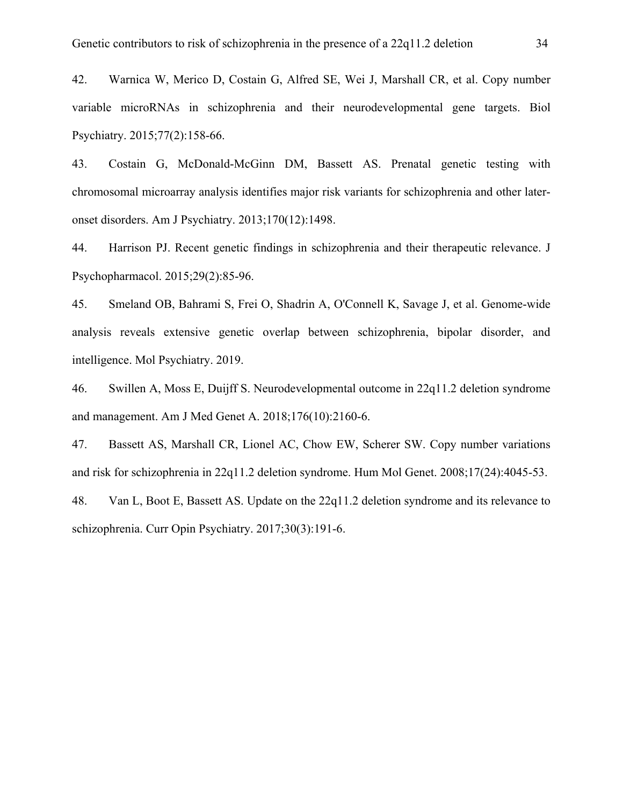42. Warnica W, Merico D, Costain G, Alfred SE, Wei J, Marshall CR, et al. Copy number variable microRNAs in schizophrenia and their neurodevelopmental gene targets. Biol Psychiatry. 2015;77(2):158-66.

43. Costain G, McDonald-McGinn DM, Bassett AS. Prenatal genetic testing with chromosomal microarray analysis identifies major risk variants for schizophrenia and other lateronset disorders. Am J Psychiatry. 2013;170(12):1498.

44. Harrison PJ. Recent genetic findings in schizophrenia and their therapeutic relevance. J Psychopharmacol. 2015;29(2):85-96.

45. Smeland OB, Bahrami S, Frei O, Shadrin A, O'Connell K, Savage J, et al. Genome-wide analysis reveals extensive genetic overlap between schizophrenia, bipolar disorder, and intelligence. Mol Psychiatry. 2019.

46. Swillen A, Moss E, Duijff S. Neurodevelopmental outcome in 22q11.2 deletion syndrome and management. Am J Med Genet A. 2018;176(10):2160-6.

47. Bassett AS, Marshall CR, Lionel AC, Chow EW, Scherer SW. Copy number variations and risk for schizophrenia in 22q11.2 deletion syndrome. Hum Mol Genet. 2008;17(24):4045-53.

48. Van L, Boot E, Bassett AS. Update on the 22q11.2 deletion syndrome and its relevance to schizophrenia. Curr Opin Psychiatry. 2017;30(3):191-6.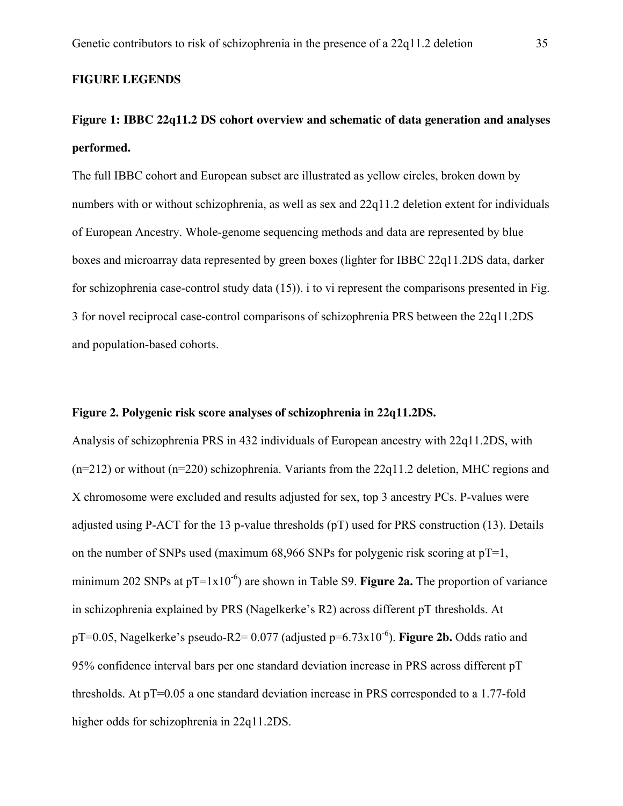#### **FIGURE LEGENDS**

### **Figure 1: IBBC 22q11.2 DS cohort overview and schematic of data generation and analyses performed.**

The full IBBC cohort and European subset are illustrated as yellow circles, broken down by numbers with or without schizophrenia, as well as sex and 22q11.2 deletion extent for individuals of European Ancestry. Whole-genome sequencing methods and data are represented by blue boxes and microarray data represented by green boxes (lighter for IBBC 22q11.2DS data, darker for schizophrenia case-control study data (15)). i to vi represent the comparisons presented in Fig. 3 for novel reciprocal case-control comparisons of schizophrenia PRS between the 22q11.2DS and population-based cohorts.

#### **Figure 2. Polygenic risk score analyses of schizophrenia in 22q11.2DS.**

Analysis of schizophrenia PRS in 432 individuals of European ancestry with 22q11.2DS, with (n=212) or without (n=220) schizophrenia. Variants from the 22q11.2 deletion, MHC regions and X chromosome were excluded and results adjusted for sex, top 3 ancestry PCs. P-values were adjusted using P-ACT for the 13 p-value thresholds (pT) used for PRS construction (13). Details on the number of SNPs used (maximum  $68,966$  SNPs for polygenic risk scoring at  $pT=1$ , minimum 202 SNPs at  $pT=1x10^{-6}$ ) are shown in Table S9. **Figure 2a.** The proportion of variance in schizophrenia explained by PRS (Nagelkerke's R2) across different pT thresholds. At pT=0.05, Nagelkerke's pseudo-R2= 0.077 (adjusted p=6.73x10-6). **Figure 2b.** Odds ratio and 95% confidence interval bars per one standard deviation increase in PRS across different pT thresholds. At pT=0.05 a one standard deviation increase in PRS corresponded to a 1.77-fold higher odds for schizophrenia in 22q11.2DS.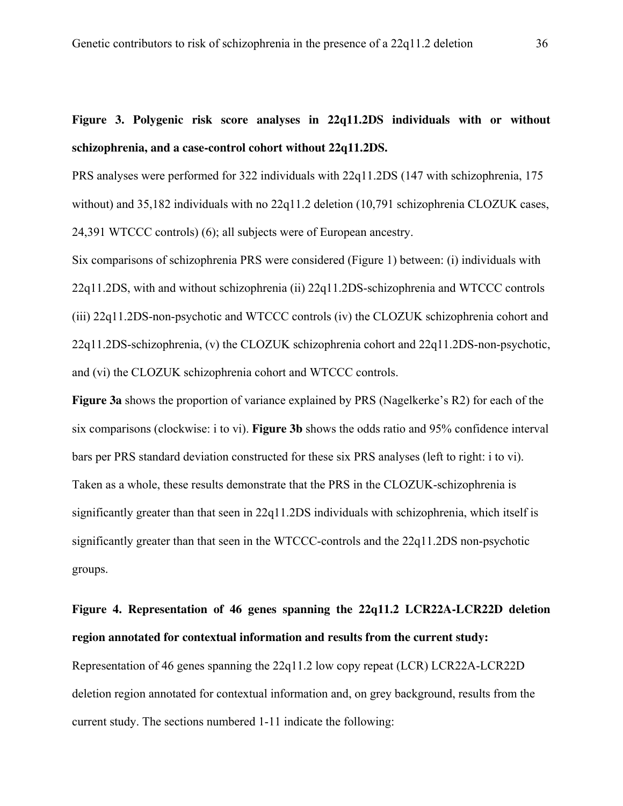### **Figure 3. Polygenic risk score analyses in 22q11.2DS individuals with or without schizophrenia, and a case-control cohort without 22q11.2DS.**

PRS analyses were performed for 322 individuals with 22q11.2DS (147 with schizophrenia, 175 without) and 35,182 individuals with no 22q11.2 deletion (10,791 schizophrenia CLOZUK cases, 24,391 WTCCC controls) (6); all subjects were of European ancestry.

Six comparisons of schizophrenia PRS were considered (Figure 1) between: (i) individuals with 22q11.2DS, with and without schizophrenia (ii) 22q11.2DS-schizophrenia and WTCCC controls (iii) 22q11.2DS-non-psychotic and WTCCC controls (iv) the CLOZUK schizophrenia cohort and 22q11.2DS-schizophrenia, (v) the CLOZUK schizophrenia cohort and 22q11.2DS-non-psychotic, and (vi) the CLOZUK schizophrenia cohort and WTCCC controls.

**Figure 3a** shows the proportion of variance explained by PRS (Nagelkerke's R2) for each of the six comparisons (clockwise: i to vi). **Figure 3b** shows the odds ratio and 95% confidence interval bars per PRS standard deviation constructed for these six PRS analyses (left to right: i to vi). Taken as a whole, these results demonstrate that the PRS in the CLOZUK-schizophrenia is significantly greater than that seen in 22q11.2DS individuals with schizophrenia, which itself is significantly greater than that seen in the WTCCC-controls and the 22q11.2DS non-psychotic groups.

## **Figure 4. Representation of 46 genes spanning the 22q11.2 LCR22A-LCR22D deletion region annotated for contextual information and results from the current study:**  Representation of 46 genes spanning the 22q11.2 low copy repeat (LCR) LCR22A-LCR22D deletion region annotated for contextual information and, on grey background, results from the current study. The sections numbered 1-11 indicate the following: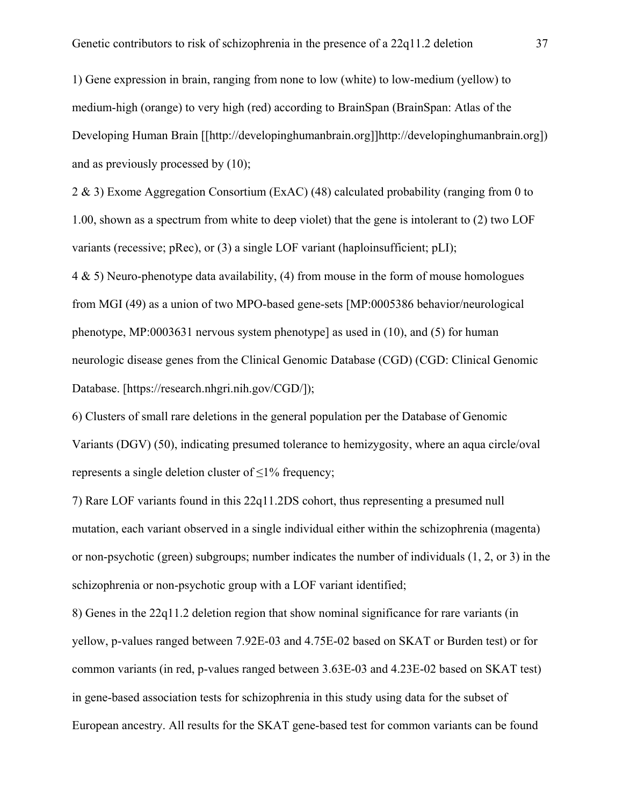1) Gene expression in brain, ranging from none to low (white) to low-medium (yellow) to medium-high (orange) to very high (red) according to BrainSpan (BrainSpan: Atlas of the Developing Human Brain [[http://developinghumanbrain.org]]http://developinghumanbrain.org]) and as previously processed by (10);

2 & 3) Exome Aggregation Consortium (ExAC) (48) calculated probability (ranging from 0 to 1.00, shown as a spectrum from white to deep violet) that the gene is intolerant to (2) two LOF variants (recessive; pRec), or (3) a single LOF variant (haploinsufficient; pLI);

4 & 5) Neuro-phenotype data availability, (4) from mouse in the form of mouse homologues from MGI (49) as a union of two MPO-based gene-sets [MP:0005386 behavior/neurological phenotype, MP:0003631 nervous system phenotype] as used in (10), and (5) for human neurologic disease genes from the Clinical Genomic Database (CGD) (CGD: Clinical Genomic Database. [https://research.nhgri.nih.gov/CGD/]);

6) Clusters of small rare deletions in the general population per the Database of Genomic Variants (DGV) (50), indicating presumed tolerance to hemizygosity, where an aqua circle/oval represents a single deletion cluster of ≤1% frequency;

7) Rare LOF variants found in this 22q11.2DS cohort, thus representing a presumed null mutation, each variant observed in a single individual either within the schizophrenia (magenta) or non-psychotic (green) subgroups; number indicates the number of individuals (1, 2, or 3) in the schizophrenia or non-psychotic group with a LOF variant identified;

8) Genes in the 22q11.2 deletion region that show nominal significance for rare variants (in yellow, p-values ranged between 7.92E-03 and 4.75E-02 based on SKAT or Burden test) or for common variants (in red, p-values ranged between 3.63E-03 and 4.23E-02 based on SKAT test) in gene-based association tests for schizophrenia in this study using data for the subset of European ancestry. All results for the SKAT gene-based test for common variants can be found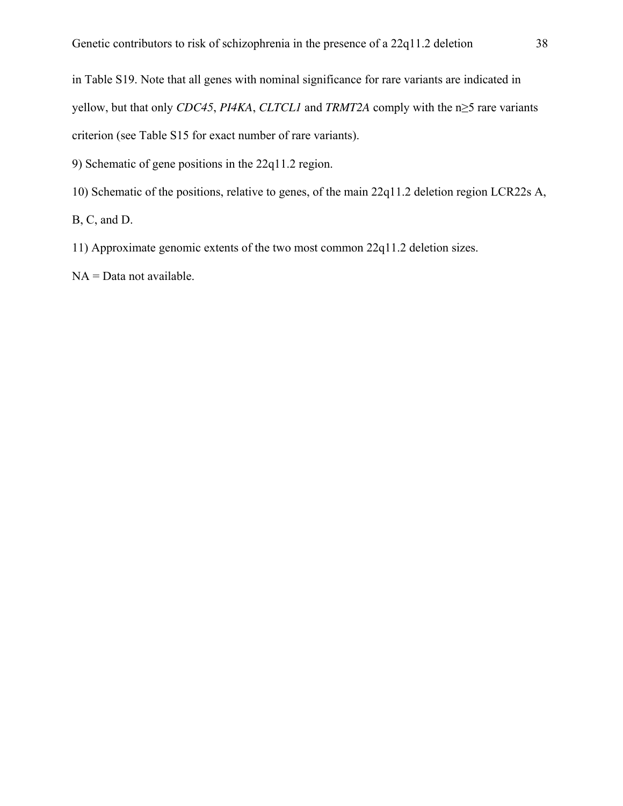in Table S19. Note that all genes with nominal significance for rare variants are indicated in yellow, but that only *CDC45*, *PI4KA*, *CLTCL1* and *TRMT2A* comply with the n≥5 rare variants criterion (see Table S15 for exact number of rare variants).

9) Schematic of gene positions in the 22q11.2 region.

10) Schematic of the positions, relative to genes, of the main 22q11.2 deletion region LCR22s A,

B, C, and D.

11) Approximate genomic extents of the two most common 22q11.2 deletion sizes.

NA = Data not available.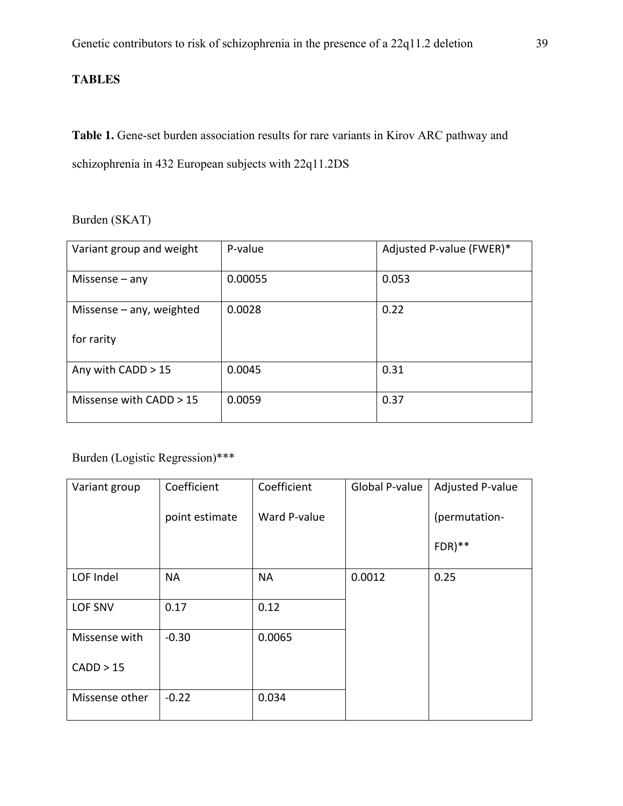#### **TABLES**

Table 1. Gene-set burden association results for rare variants in Kirov ARC pathway and schizophrenia in 432 European subjects with 22q11.2DS

#### Burden (SKAT)

| Variant group and weight   | P-value | Adjusted P-value (FWER)* |
|----------------------------|---------|--------------------------|
| Missense $-$ any           | 0.00055 | 0.053                    |
| Missense $-$ any, weighted | 0.0028  | 0.22                     |
| for rarity                 |         |                          |
| Any with CADD > 15         | 0.0045  | 0.31                     |
| Missense with CADD > 15    | 0.0059  | 0.37                     |

### Burden (Logistic Regression)\*\*\*

| Variant group  | Coefficient    | Coefficient  | Global P-value | Adjusted P-value |
|----------------|----------------|--------------|----------------|------------------|
|                | point estimate | Ward P-value |                | (permutation-    |
|                |                |              |                | $FDR)**$         |
| LOF Indel      | <b>NA</b>      | <b>NA</b>    | 0.0012         | 0.25             |
| LOF SNV        | 0.17           | 0.12         |                |                  |
| Missense with  | $-0.30$        | 0.0065       |                |                  |
| CADD > 15      |                |              |                |                  |
| Missense other | $-0.22$        | 0.034        |                |                  |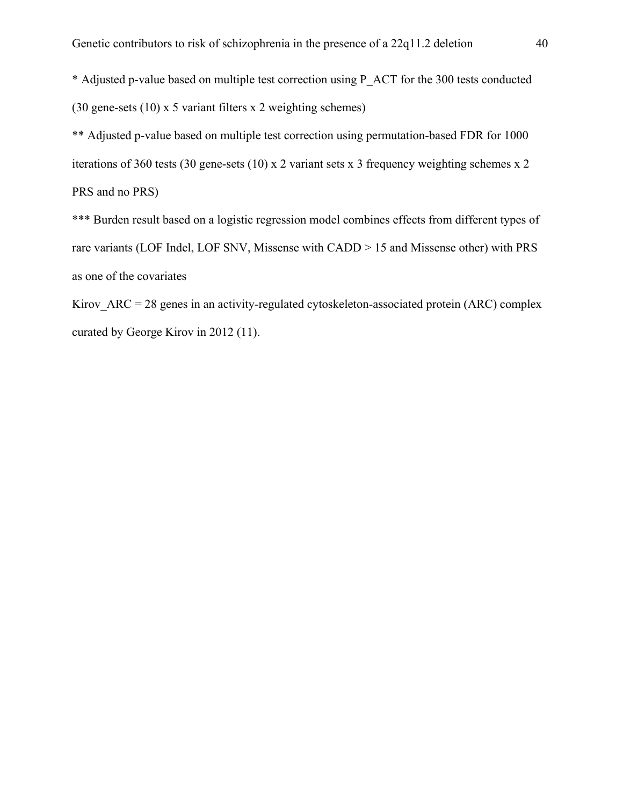\* Adjusted p-value based on multiple test correction using P\_ACT for the 300 tests conducted (30 gene-sets (10) x 5 variant filters x 2 weighting schemes)

\*\* Adjusted p-value based on multiple test correction using permutation-based FDR for 1000 iterations of 360 tests (30 gene-sets (10) x 2 variant sets x 3 frequency weighting schemes x 2 PRS and no PRS)

\*\*\* Burden result based on a logistic regression model combines effects from different types of rare variants (LOF Indel, LOF SNV, Missense with CADD > 15 and Missense other) with PRS as one of the covariates

Kirov  $ARC = 28$  genes in an activity-regulated cytoskeleton-associated protein (ARC) complex curated by George Kirov in 2012 (11).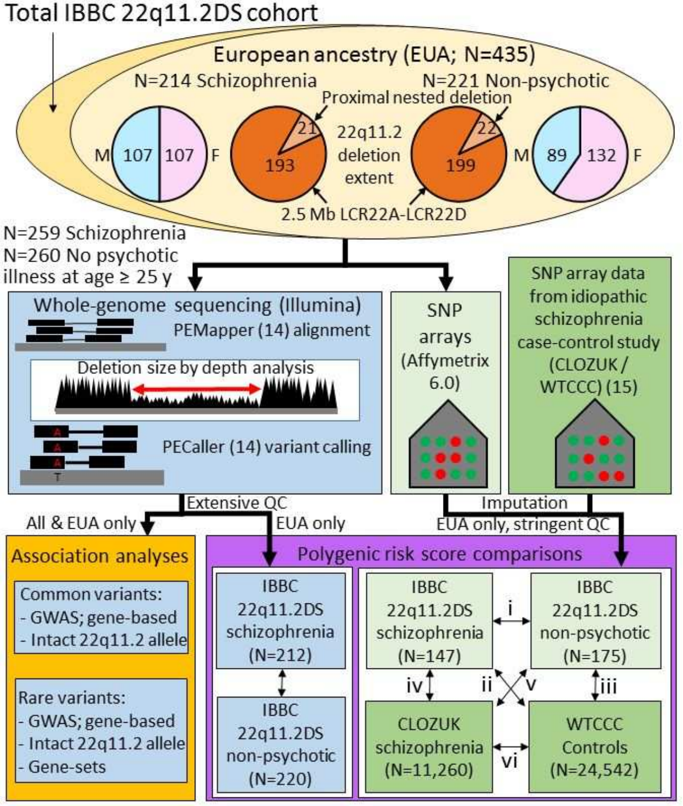### Total IBBC 22q11.2DS cohort

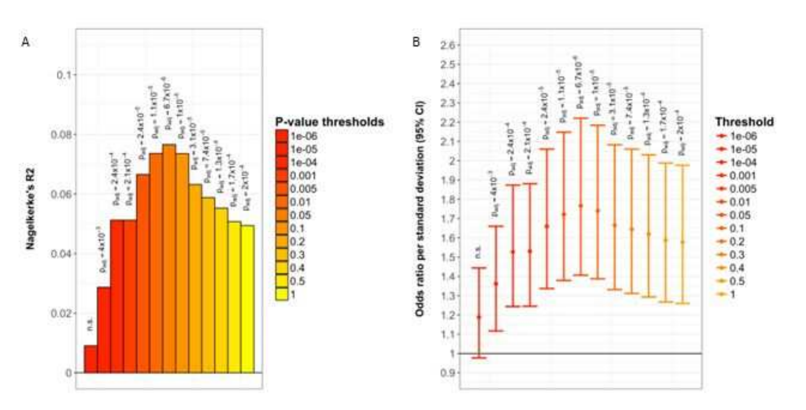

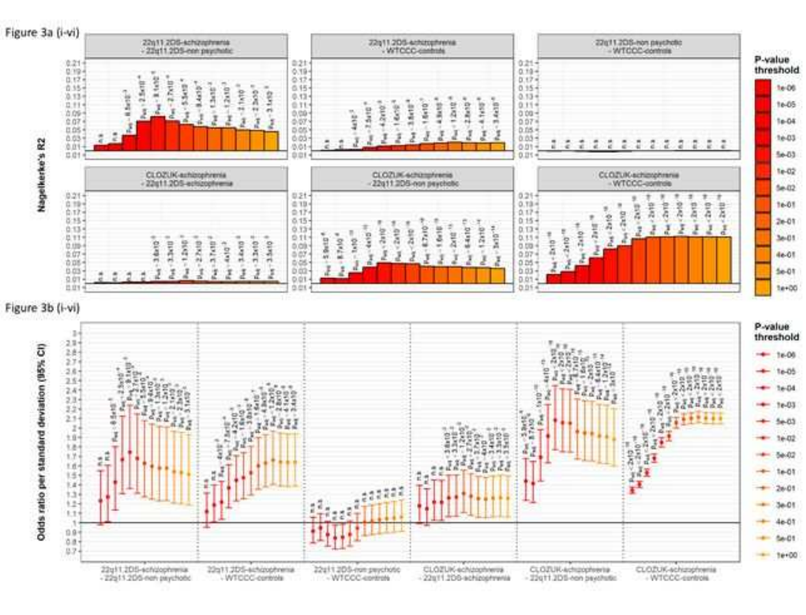